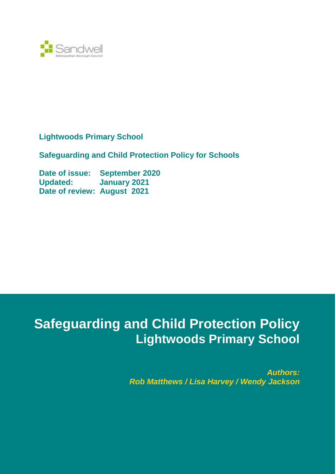

**Lightwoods Primary School**

**Safeguarding and Child Protection Policy for Schools**

**Date of issue: September 2020 Updated: January 2021 Date of review: August 2021**

# **Safeguarding and Child Protection Policy Lightwoods Primary School**

*Authors: Rob Matthews / Lisa Harvey / Wendy Jackson*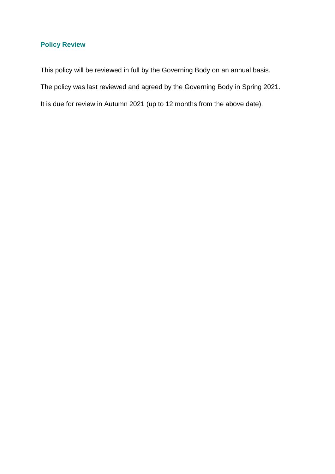# **Policy Review**

This policy will be reviewed in full by the Governing Body on an annual basis. The policy was last reviewed and agreed by the Governing Body in Spring 2021.

It is due for review in Autumn 2021 (up to 12 months from the above date).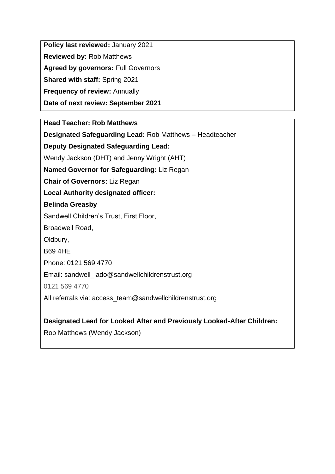**Policy last reviewed:** January 2021

**Reviewed by:** Rob Matthews

**Agreed by governors:** Full Governors

**Shared with staff:** Spring 2021

**Frequency of review:** Annually

**Date of next review: September 2021**

**Head Teacher: Rob Matthews**

**Designated Safeguarding Lead:** Rob Matthews – Headteacher

**Deputy Designated Safeguarding Lead:**

Wendy Jackson (DHT) and Jenny Wright (AHT)

**Named Governor for Safeguarding:** Liz Regan

**Chair of Governors:** Liz Regan

**Local Authority designated officer:** 

#### **Belinda Greasby**

Sandwell Children's Trust, First Floor,

Broadwell Road,

Oldbury,

B69 4HE

Phone: 0121 569 4770

Email: sandwell\_lado@sandwellchildrenstrust.org

0121 569 4770

All referrals via: access\_team@sandwellchildrenstrust.org

# **Designated Lead for Looked After and Previously Looked-After Children:**

Rob Matthews (Wendy Jackson)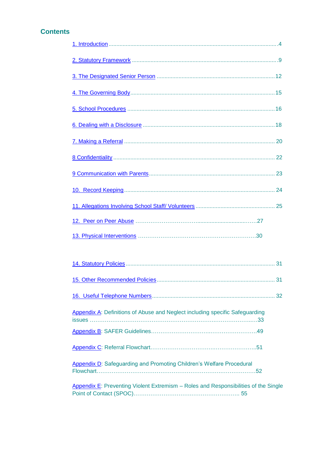## **Contents**

<span id="page-3-3"></span><span id="page-3-2"></span><span id="page-3-1"></span><span id="page-3-0"></span>

<span id="page-3-9"></span><span id="page-3-8"></span><span id="page-3-7"></span><span id="page-3-6"></span><span id="page-3-5"></span><span id="page-3-4"></span>

| Appendix A: Definitions of Abuse and Neglect including specific Safeguarding |  |
|------------------------------------------------------------------------------|--|
|                                                                              |  |
|                                                                              |  |

<span id="page-3-11"></span><span id="page-3-10"></span>

<span id="page-3-12"></span>

| <b>Appendix D: Safeguarding and Promoting Children's Welfare Procedural</b> |  |
|-----------------------------------------------------------------------------|--|
|                                                                             |  |

<span id="page-3-13"></span>[Appendix E:](#page-3-13) Preventing Violent Extremism – Roles and Responsibilities of the Single Point of Contact (SPOC)………………………….…………………….. 55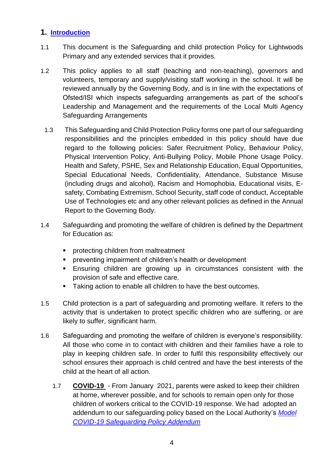# <span id="page-4-0"></span>**1. [Introduction](#page-4-0)**

- 1.1 This document is the Safeguarding and child protection Policy for Lightwoods Primary and any extended services that it provides.
- 1.2 This policy applies to all staff (teaching and non-teaching), governors and volunteers, temporary and supply/visiting staff working in the school. It will be reviewed annually by the Governing Body, and is in line with the expectations of Ofsted/ISI which inspects safeguarding arrangements as part of the school's Leadership and Management and the requirements of the Local Multi Agency Safeguarding Arrangements
	- 1.3 This Safeguarding and Child Protection Policy forms one part of our safeguarding responsibilities and the principles embedded in this policy should have due regard to the following policies: Safer Recruitment Policy, Behaviour Policy, Physical Intervention Policy, Anti-Bullying Policy, Mobile Phone Usage Policy. Health and Safety, PSHE, Sex and Relationship Education, Equal Opportunities, Special Educational Needs, Confidentiality, Attendance, Substance Misuse (including drugs and alcohol), Racism and Homophobia, Educational visits, Esafety, Combating Extremism, School Security, staff code of conduct, Acceptable Use of Technologies etc and any other relevant policies as defined in the Annual Report to the Governing Body.
- 1.4 Safeguarding and promoting the welfare of children is defined by the Department for Education as:
	- **PEDITE:** protecting children from maltreatment
	- **PEDEPTIER INTERS IN A THE PREVENTIST PREVENTISH** preventing impairment
	- Ensuring children are growing up in circumstances consistent with the provision of safe and effective care.
	- **Taking action to enable all children to have the best outcomes.**
- 1.5 Child protection is a part of safeguarding and promoting welfare. It refers to the activity that is undertaken to protect specific children who are suffering, or are likely to suffer, significant harm.
- 1.6 Safeguarding and promoting the welfare of children is everyone's responsibility. All those who come in to contact with children and their families have a role to play in keeping children safe. In order to fulfil this responsibility effectively our school ensures their approach is child centred and have the best interests of the child at the heart of all action.
	- 1.7 **COVID-19**  From January 2021, parents were asked to keep their children at home, wherever possible, and for schools to remain open only for those children of workers critical to the COVID-19 response. We had adopted an addendum to our safeguarding policy based on the Local Authority's *[Model](https://schools.southwark.gov.uk/assets/attach/5848/Model-COVID-19-Safeguarding-Policy-Addendum.docx)  [COVID-19 Safeguarding Policy Addendum](https://schools.southwark.gov.uk/assets/attach/5848/Model-COVID-19-Safeguarding-Policy-Addendum.docx)*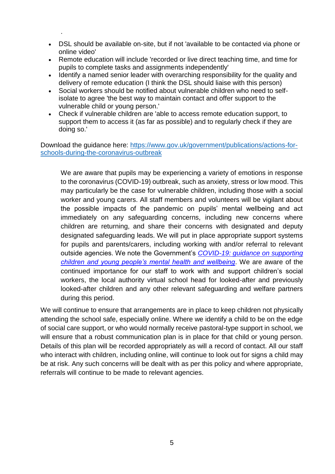DSL should be available on-site, but if not 'available to be contacted via phone or online video'

.

- Remote education will include 'recorded or live direct teaching time, and time for pupils to complete tasks and assignments independently'
- Identify a named senior leader with overarching responsibility for the quality and delivery of remote education (I think the DSL should liaise with this person)
- Social workers should be notified about vulnerable children who need to selfisolate to agree 'the best way to maintain contact and offer support to the vulnerable child or young person.'
- Check if vulnerable children are 'able to access remote education support, to support them to access it (as far as possible) and to regularly check if they are doing so.'

Download the guidance here: [https://www.gov.uk/government/publications/actions-for](https://www.gov.uk/government/publications/actions-for-schools-during-the-coronavirus-outbreak)[schools-during-the-coronavirus-outbreak](https://www.gov.uk/government/publications/actions-for-schools-during-the-coronavirus-outbreak)

We are aware that pupils may be experiencing a variety of emotions in response to the coronavirus (COVID-19) outbreak, such as anxiety, stress or low mood. This may particularly be the case for vulnerable children, including those with a social worker and young carers. All staff members and volunteers will be vigilant about the possible impacts of the pandemic on pupils' mental wellbeing and act immediately on any safeguarding concerns, including new concerns where children are returning, and share their concerns with designated and deputy designated safeguarding leads. We will put in place appropriate support systems for pupils and parents/carers, including working with and/or referral to relevant outside agencies. We note the Government's *[COVID-19: guidance on supporting](https://www.gov.uk/government/publications/covid-19-guidance-on-supporting-children-and-young-peoples-mental-health-and-wellbeing)  [children and young people's mental health and wellbeing](https://www.gov.uk/government/publications/covid-19-guidance-on-supporting-children-and-young-peoples-mental-health-and-wellbeing)*. We are aware of the continued importance for our staff to work with and support children's social workers, the local authority virtual school head for looked-after and previously looked-after children and any other relevant safeguarding and welfare partners during this period.

We will continue to ensure that arrangements are in place to keep children not physically attending the school safe, especially online. Where we identify a child to be on the edge of social care support, or who would normally receive pastoral-type support in school, we will ensure that a robust communication plan is in place for that child or young person. Details of this plan will be recorded appropriately as will a record of contact. All our staff who interact with children, including online, will continue to look out for signs a child may be at risk. Any such concerns will be dealt with as per this policy and where appropriate, referrals will continue to be made to relevant agencies.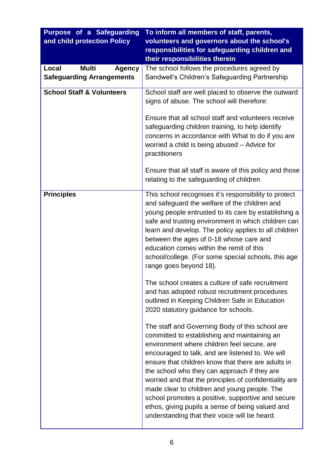| Purpose of a Safeguarding<br>and child protection Policy                   | To inform all members of staff, parents,<br>volunteers and governors about the school's<br>responsibilities for safeguarding children and                                                                                                                                                                                                                                                                                                                                                                                                                                    |
|----------------------------------------------------------------------------|------------------------------------------------------------------------------------------------------------------------------------------------------------------------------------------------------------------------------------------------------------------------------------------------------------------------------------------------------------------------------------------------------------------------------------------------------------------------------------------------------------------------------------------------------------------------------|
|                                                                            | their responsibilities therein                                                                                                                                                                                                                                                                                                                                                                                                                                                                                                                                               |
| <b>Multi</b><br>Local<br><b>Agency</b><br><b>Safeguarding Arrangements</b> | The school follows the procedures agreed by<br>Sandwell's Children's Safeguarding Partnership                                                                                                                                                                                                                                                                                                                                                                                                                                                                                |
| <b>School Staff &amp; Volunteers</b>                                       | School staff are well placed to observe the outward<br>signs of abuse. The school will therefore:                                                                                                                                                                                                                                                                                                                                                                                                                                                                            |
|                                                                            | Ensure that all school staff and volunteers receive<br>safeguarding children training, to help identify<br>concerns in accordance with What to do if you are<br>worried a child is being abused - Advice for<br>practitioners                                                                                                                                                                                                                                                                                                                                                |
|                                                                            | Ensure that all staff is aware of this policy and those<br>relating to the safeguarding of children                                                                                                                                                                                                                                                                                                                                                                                                                                                                          |
| <b>Principles</b>                                                          | This school recognises it's responsibility to protect<br>and safeguard the welfare of the children and<br>young people entrusted to its care by establishing a<br>safe and trusting environment in which children can<br>learn and develop. The policy applies to all children<br>between the ages of 0-18 whose care and<br>education comes within the remit of this<br>school/college. (For some special schools, this age<br>range goes beyond 18).                                                                                                                       |
|                                                                            | The school creates a culture of safe recruitment<br>and has adopted robust recruitment procedures<br>outlined in Keeping Children Safe in Education<br>2020 statutory guidance for schools.                                                                                                                                                                                                                                                                                                                                                                                  |
|                                                                            | The staff and Governing Body of this school are<br>committed to establishing and maintaining an<br>environment where children feel secure, are<br>encouraged to talk, and are listened to. We will<br>ensure that children know that there are adults in<br>the school who they can approach if they are<br>worried and that the principles of confidentiality are<br>made clear to children and young people. The<br>school promotes a positive, supportive and secure<br>ethos, giving pupils a sense of being valued and<br>understanding that their voice will be heard. |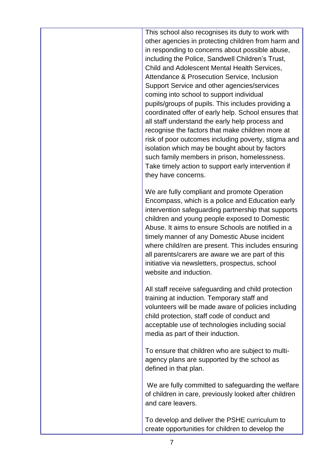This school also recognises its duty to work with other agencies in protecting children from harm and in responding to concerns about possible abuse, including the Police, Sandwell Children's Trust, Child and Adolescent Mental Health Services, Attendance & Prosecution Service, Inclusion Support Service and other agencies/services coming into school to support individual pupils/groups of pupils. This includes providing a coordinated offer of early help. School ensures that all staff understand the early help process and recognise the factors that make children more at risk of poor outcomes including poverty, stigma and isolation which may be bought about by factors such family members in prison, homelessness. Take timely action to support early intervention if they have concerns.

We are fully compliant and promote Operation Encompass, which is a police and Education early intervention safeguarding partnership that supports children and young people exposed to Domestic Abuse. It aims to ensure Schools are notified in a timely manner of any Domestic Abuse incident where child/ren are present. This includes ensuring all parents/carers are aware we are part of this initiative via newsletters, prospectus, school website and induction.

All staff receive safeguarding and child protection training at induction. Temporary staff and volunteers will be made aware of policies including child protection, staff code of conduct and acceptable use of technologies including social media as part of their induction.

To ensure that children who are subject to multiagency plans are supported by the school as defined in that plan.

We are fully committed to safeguarding the welfare of children in care, previously looked after children and care leavers.

To develop and deliver the PSHE curriculum to create opportunities for children to develop the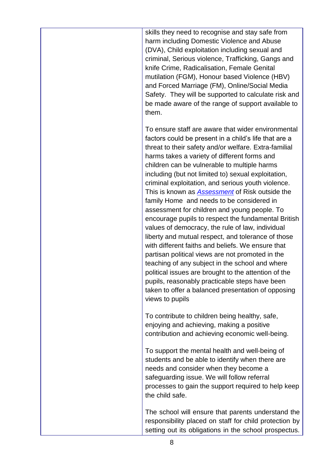skills they need to recognise and stay safe from harm including Domestic Violence and Abuse (DVA), Child exploitation including sexual and criminal, Serious violence, Trafficking, Gangs and knife Crime, Radicalisation, Female Genital mutilation (FGM), Honour based Violence (HBV) and Forced Marriage (FM), Online/Social Media Safety. They will be supported to calculate risk and be made aware of the range of support available to them.

To ensure staff are aware that wider environmental factors could be present in a child's life that are a threat to their safety and/or welfare. Extra-familial harms takes a variety of different forms and children can be vulnerable to multiple harms including (but not limited to) sexual exploitation, criminal exploitation, and serious youth violence. This is known as *[Assessment](https://contextualsafeguarding.org.uk/)* of Risk outside the family Home and needs to be considered in assessment for children and young people. To encourage pupils to respect the fundamental British values of democracy, the rule of law, individual liberty and mutual respect, and tolerance of those with different faiths and beliefs. We ensure that partisan political views are not promoted in the teaching of any subject in the school and where political issues are brought to the attention of the pupils, reasonably practicable steps have been taken to offer a balanced presentation of opposing views to pupils

To contribute to children being healthy, safe, enjoying and achieving, making a positive contribution and achieving economic well-being.

To support the mental health and well-being of students and be able to identify when there are needs and consider when they become a safeguarding issue. We will follow referral processes to gain the support required to help keep the child safe.

The school will ensure that parents understand the responsibility placed on staff for child protection by setting out its obligations in the school prospectus.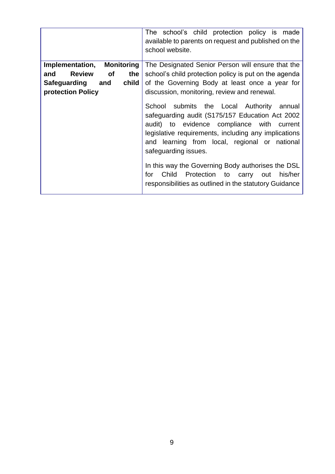|                                                                                                                                    | The school's child protection policy is made<br>available to parents on request and published on the<br>school website.                                                                                                                                                                                                                                                                                                                                                                                                                                                                                                                                               |
|------------------------------------------------------------------------------------------------------------------------------------|-----------------------------------------------------------------------------------------------------------------------------------------------------------------------------------------------------------------------------------------------------------------------------------------------------------------------------------------------------------------------------------------------------------------------------------------------------------------------------------------------------------------------------------------------------------------------------------------------------------------------------------------------------------------------|
| Implementation,<br><b>Monitoring</b><br><b>Review</b><br><b>of</b><br>the<br>and<br>child<br>Safeguarding and<br>protection Policy | The Designated Senior Person will ensure that the<br>school's child protection policy is put on the agenda<br>of the Governing Body at least once a year for<br>discussion, monitoring, review and renewal.<br>School submits the Local Authority<br>annual<br>safeguarding audit (S175/157 Education Act 2002<br>audit) to evidence compliance with current<br>legislative requirements, including any implications<br>and learning from local, regional or national<br>safeguarding issues.<br>In this way the Governing Body authorises the DSL<br>Child Protection to<br>for<br>out<br>his/her<br>carry<br>responsibilities as outlined in the statutory Guidance |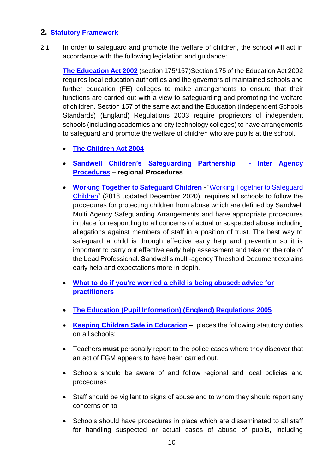## <span id="page-10-0"></span>**2. [Statutory Framework](#page-10-0)**

2.1 In order to safeguard and promote the welfare of children, the school will act in accordance with the following legislation and guidance:

**[The Education Act 2002](http://www.legislation.gov.uk/ukpga/2002/32/contents)** (section 175/157[\)Section 175 of the Education Act 2002](http://www.opsi.gov.uk/ACTS/acts2002/ukpga_20020032_en_15) requires local education authorities and the governors of maintained schools and further education (FE) colleges to make arrangements to ensure that their functions are carried out with a view to safeguarding and promoting the welfare of children. [Section 157](http://www.opsi.gov.uk/ACTS/acts2002/ukpga_20020032_en_14) of the same act and the [Education \(Independent Schools](http://www.opsi.gov.uk/SI/si2003/20031910.htm)  [Standards\) \(England\) Regulations 2003](http://www.opsi.gov.uk/SI/si2003/20031910.htm) require proprietors of independent schools (including academies and city technology colleges) to have arrangements to safeguard and promote the welfare of children who are pupils at the school.

- **[The Children Act 2004](http://www.legislation.gov.uk/ukpga/2004/31/contents)**
- **[Sandwell Children's Safeguarding Partnership -](http://westmidlands.procedures.org.uk/) Inter Agency [Procedures](http://westmidlands.procedures.org.uk/) – regional Procedures**
- **[Working Together to Safeguard Children](https://www.gov.uk/government/publications/working-together-to-safeguard-children--2) -** ["Working Together to Safeguard](https://www.gov.uk/government/publications/working-together-to-safeguard-children--2)  [Children"](https://www.gov.uk/government/publications/working-together-to-safeguard-children--2) (2018 updated December 2020) requires all schools to follow the procedures for protecting children from abuse which are defined by Sandwell Multi Agency Safeguarding Arrangements and have appropriate procedures in place for responding to all concerns of actual or suspected abuse including allegations against members of staff in a position of trust. The best way to safeguard a child is through effective early help and prevention so it is important to carry out effective early help assessment and take on the role of the Lead Professional. Sandwell's multi-agency Threshold Document explains early help and expectations more in depth.
- **[What to do if you're worried a child is being abused: advice for](https://www.gov.uk/government/publications/what-to-do-if-youre-worried-a-child-is-being-abused--2)  [practitioners](https://www.gov.uk/government/publications/what-to-do-if-youre-worried-a-child-is-being-abused--2)**
- **[The Education \(Pupil Information\) \(England\) Regulations 2005](http://www.legislation.gov.uk/uksi/2005/1437/pdfs/uksi_20051437_en.)**
- **[Keeping Children Safe in Education](https://www.gov.uk/government/publications/keeping-children-safe-in-education--2)** places the following statutory duties on all schools:
- Teachers **must** personally report to the police cases where they discover that an act of FGM appears to have been carried out.
- Schools should be aware of and follow regional and local policies and procedures
- Staff should be vigilant to signs of abuse and to whom they should report any concerns on to
- Schools should have procedures in place which are disseminated to all staff for handling suspected or actual cases of abuse of pupils, including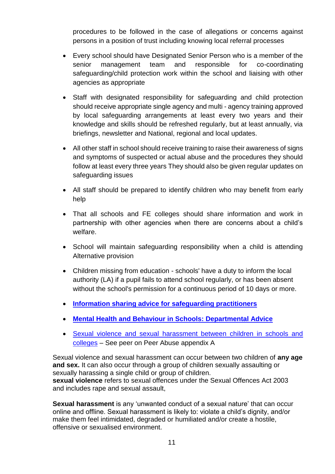procedures to be followed in the case of allegations or concerns against persons in a position of trust including knowing local referral processes

- Every school should have Designated Senior Person who is a member of the senior management team and responsible for co-coordinating safeguarding/child protection work within the school and liaising with other agencies as appropriate
- Staff with designated responsibility for safeguarding and child protection should receive appropriate single agency and multi - agency training approved by local safeguarding arrangements at least every two years and their knowledge and skills should be refreshed regularly, but at least annually, via briefings, newsletter and National, regional and local updates.
- All other staff in school should receive training to raise their awareness of signs and symptoms of suspected or actual abuse and the procedures they should follow at least every three years They should also be given regular updates on safeguarding issues
- All staff should be prepared to identify children who may benefit from early help
- That all schools and FE colleges should share information and work in partnership with other agencies when there are concerns about a child's welfare.
- School will maintain safeguarding responsibility when a child is attending Alternative provision
- Children missing from education schools' have a duty to inform the local authority (LA) if a pupil fails to attend school regularly, or has been absent without the school's permission for a continuous period of 10 days or more.
- **[Information sharing advice for safeguarding practitioners](https://www.gov.uk/government/publications/safeguarding-practitioners-information-sharing-advice)**
- **[Mental Health and Behaviour in Schools: Departmental Advice](https://www.gov.uk/government/publications/mental-health-and-behaviour-in-schools--2)**
- [Sexual violence and sexual harassment between children in schools and](https://assets.publishing.service.gov.uk/government/uploads/system/uploads/attachment_data/file/719902/Sexual_violence_and_sexual_harassment_between_children_in_schools_and_colleges.pdf)  [colleges](https://assets.publishing.service.gov.uk/government/uploads/system/uploads/attachment_data/file/719902/Sexual_violence_and_sexual_harassment_between_children_in_schools_and_colleges.pdf) – See peer on Peer Abuse appendix A

Sexual violence and sexual harassment can occur between two children of **any age and sex.** It can also occur through a group of children sexually assaulting or sexually harassing a single child or group of children.

**sexual violence** refers to sexual offences under the Sexual Offences Act 2003 and includes rape and sexual assault,

**Sexual harassment** is any 'unwanted conduct of a sexual nature' that can occur online and offline. Sexual harassment is likely to: violate a child's dignity, and/or make them feel intimidated, degraded or humiliated and/or create a hostile, offensive or sexualised environment.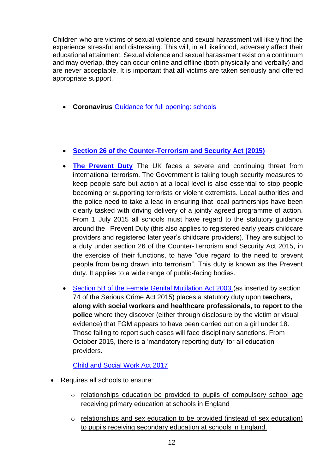Children who are victims of sexual violence and sexual harassment will likely find the experience stressful and distressing. This will, in all likelihood, adversely affect their educational attainment. Sexual violence and sexual harassment exist on a continuum and may overlap, they can occur online and offline (both physically and verbally) and are never acceptable. It is important that **all** victims are taken seriously and offered appropriate support.

**Coronavirus** [Guidance for full opening: schools](https://www.gov.uk/government/publications/actions-for-schools-during-the-coronavirus-outbreak/guidance-for-full-opening-schools)

## **[Section 26 of the Counter-Terrorism and Security Act \(2015\)](http://www.legislation.gov.uk/ukpga/2015/6/section/26/enacted)**

- **The [Prevent Duty](https://www.gov.uk/government/publications/protecting-children-from-radicalisation-the-prevent-duty)** The UK faces a severe and continuing threat from international terrorism. The Government is taking tough security measures to keep people safe but action at a local level is also essential to stop people becoming or supporting terrorists or violent extremists. Local authorities and the police need to take a lead in ensuring that local partnerships have been clearly tasked with driving delivery of a jointly agreed programme of action. From 1 July 2015 all schools must have regard to the statutory guidance around the Prevent Duty (this also applies to registered early years childcare providers and registered later year's childcare providers). They are subject to a duty under section 26 of the Counter-Terrorism and Security Act 2015, in the exercise of their functions, to have "due regard to the need to prevent people from being drawn into terrorism". This duty is known as the Prevent duty. It applies to a wide range of public-facing bodies.
- [Section 5B of the Female Genital Mutilation Act 2003 \(](http://www.legislation.gov.uk/ukpga/2015/9/part/5/crossheading/female-genital-mutilation/enacted)as inserted by section 74 of the Serious Crime Act 2015) places a statutory duty upon **teachers, along with social workers and healthcare professionals, to report to the police** where they discover (either through disclosure by the victim or visual evidence) that FGM appears to have been carried out on a girl under 18. Those failing to report such cases will face disciplinary sanctions. From October 2015, there is a 'mandatory reporting duty' for all education providers.

[Child and Social Work Act 2017](https://www.legislation.gov.uk/ukpga/2017/16/contents/enacted)

- Requires all schools to ensure:
	- $\circ$  relationships education be provided to pupils of compulsory school age receiving primary education at schools in England
	- $\circ$  relationships and sex education to be provided (instead of sex education) to pupils receiving secondary education at schools in England.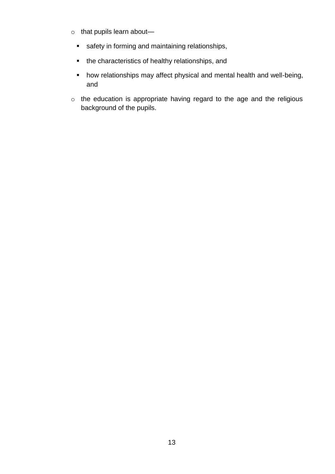- o that pupils learn about
	- safety in forming and maintaining relationships,
	- the characteristics of healthy relationships, and
	- how relationships may affect physical and mental health and well-being, and
- o the education is appropriate having regard to the age and the religious background of the pupils.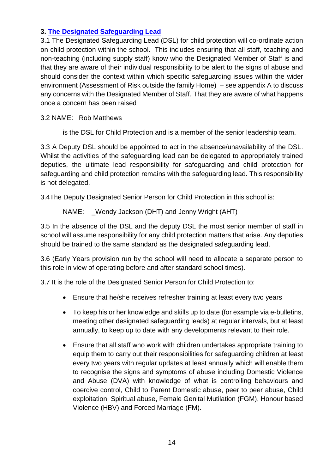## <span id="page-14-0"></span>**3. [The Designated Safeguarding Lead](#page-14-0)**

3.1 The Designated Safeguarding Lead (DSL) for child protection will co-ordinate action on child protection within the school. This includes ensuring that all staff, teaching and non-teaching (including supply staff) know who the Designated Member of Staff is and that they are aware of their individual responsibility to be alert to the signs of abuse and should consider the context within which specific safeguarding issues within the wider environment (Assessment of Risk outside the family Home) – see appendix A to discuss any concerns with the Designated Member of Staff. That they are aware of what happens once a concern has been raised

## 3.2 NAME: Rob Matthews

is the DSL for Child Protection and is a member of the senior leadership team.

3.3 A Deputy DSL should be appointed to act in the absence/unavailability of the DSL. Whilst the activities of the safeguarding lead can be delegated to appropriately trained deputies, the ultimate lead responsibility for safeguarding and child protection for safeguarding and child protection remains with the safeguarding lead. This responsibility is not delegated.

3.4The Deputy Designated Senior Person for Child Protection in this school is:

NAME: \_Wendy Jackson (DHT) and Jenny Wright (AHT)

3.5 In the absence of the DSL and the deputy DSL the most senior member of staff in school will assume responsibility for any child protection matters that arise. Any deputies should be trained to the same standard as the designated safeguarding lead.

3.6 (Early Years provision run by the school will need to allocate a separate person to this role in view of operating before and after standard school times).

3.7 It is the role of the Designated Senior Person for Child Protection to:

- Ensure that he/she receives refresher training at least every two years
- To keep his or her knowledge and skills up to date (for example via e-bulletins, meeting other designated safeguarding leads) at regular intervals, but at least annually, to keep up to date with any developments relevant to their role.
- Ensure that all staff who work with children undertakes appropriate training to equip them to carry out their responsibilities for safeguarding children at least every two years with regular updates at least annually which will enable them to recognise the signs and symptoms of abuse including Domestic Violence and Abuse (DVA) with knowledge of what is controlling behaviours and coercive control, Child to Parent Domestic abuse, peer to peer abuse, Child exploitation, Spiritual abuse, Female Genital Mutilation (FGM), Honour based Violence (HBV) and Forced Marriage (FM).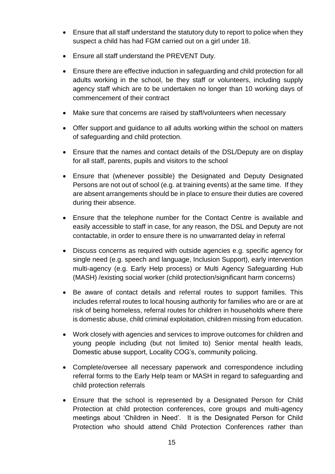- Ensure that all staff understand the statutory duty to report to police when they suspect a child has had FGM carried out on a girl under 18.
- Ensure all staff understand the PREVENT Duty.
- Ensure there are effective induction in safeguarding and child protection for all adults working in the school, be they staff or volunteers, including supply agency staff which are to be undertaken no longer than 10 working days of commencement of their contract
- Make sure that concerns are raised by staff/volunteers when necessary
- Offer support and guidance to all adults working within the school on matters of safeguarding and child protection.
- Ensure that the names and contact details of the DSL/Deputy are on display for all staff, parents, pupils and visitors to the school
- Ensure that (whenever possible) the Designated and Deputy Designated Persons are not out of school (e.g. at training events) at the same time. If they are absent arrangements should be in place to ensure their duties are covered during their absence.
- Ensure that the telephone number for the Contact Centre is available and easily accessible to staff in case, for any reason, the DSL and Deputy are not contactable, in order to ensure there is no unwarranted delay in referral
- Discuss concerns as required with outside agencies e.g. specific agency for single need (e.g. speech and language, Inclusion Support), early intervention multi-agency (e.g. Early Help process) or Multi Agency Safeguarding Hub (MASH) /existing social worker (child protection/significant harm concerns)
- Be aware of contact details and referral routes to support families. This includes referral routes to local housing authority for families who are or are at risk of being homeless, referral routes for children in households where there is domestic abuse, child criminal exploitation, children missing from education.
- Work closely with agencies and services to improve outcomes for children and young people including (but not limited to) Senior mental health leads, Domestic abuse support, Locality COG's, community policing.
- Complete/oversee all necessary paperwork and correspondence including referral forms to the Early Help team or MASH in regard to safeguarding and child protection referrals
- Ensure that the school is represented by a Designated Person for Child Protection at child protection conferences, core groups and multi-agency meetings about 'Children in Need'. It is the Designated Person for Child Protection who should attend Child Protection Conferences rather than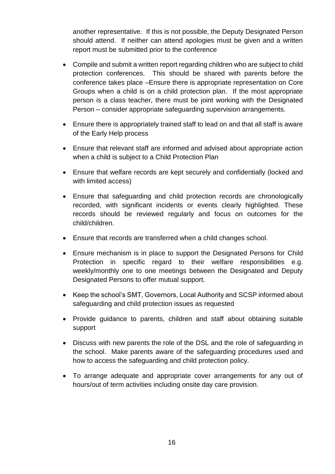another representative. If this is not possible, the Deputy Designated Person should attend. If neither can attend apologies must be given and a written report must be submitted prior to the conference

- Compile and submit a written report regarding children who are subject to child protection conferences. This should be shared with parents before the conference takes place –Ensure there is appropriate representation on Core Groups when a child is on a child protection plan. If the most appropriate person is a class teacher, there must be joint working with the Designated Person – consider appropriate safeguarding supervision arrangements.
- Ensure there is appropriately trained staff to lead on and that all staff is aware of the Early Help process
- Ensure that relevant staff are informed and advised about appropriate action when a child is subject to a Child Protection Plan
- Ensure that welfare records are kept securely and confidentially (locked and with limited access)
- Ensure that safeguarding and child protection records are chronologically recorded, with significant incidents or events clearly highlighted. These records should be reviewed regularly and focus on outcomes for the child/children.
- Ensure that records are transferred when a child changes school.
- Ensure mechanism is in place to support the Designated Persons for Child Protection in specific regard to their welfare responsibilities e.g. weekly/monthly one to one meetings between the Designated and Deputy Designated Persons to offer mutual support.
- Keep the school's SMT, Governors, Local Authority and SCSP informed about safeguarding and child protection issues as requested
- Provide guidance to parents, children and staff about obtaining suitable support
- Discuss with new parents the role of the DSL and the role of safeguarding in the school. Make parents aware of the safeguarding procedures used and how to access the safeguarding and child protection policy.
- To arrange adequate and appropriate cover arrangements for any out of hours/out of term activities including onsite day care provision.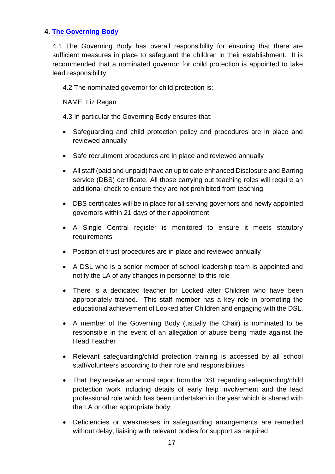## **4. [The Governing Body](#page-3-0)**

4.1 The Governing Body has overall responsibility for ensuring that there are sufficient measures in place to safeguard the children in their establishment. It is recommended that a nominated governor for child protection is appointed to take lead responsibility.

4.2 The nominated governor for child protection is:

NAME Liz Regan

4.3 In particular the Governing Body ensures that:

- Safeguarding and child protection policy and procedures are in place and reviewed annually
- Safe recruitment procedures are in place and reviewed annually
- All staff (paid and unpaid) have an up to date enhanced Disclosure and Barring service (DBS) certificate. All those carrying out teaching roles will require an additional check to ensure they are not prohibited from teaching.
- DBS certificates will be in place for all serving governors and newly appointed governors within 21 days of their appointment
- A Single Central register is monitored to ensure it meets statutory requirements
- Position of trust procedures are in place and reviewed annually
- A DSL who is a senior member of school leadership team is appointed and notify the LA of any changes in personnel to this role
- There is a dedicated teacher for Looked after Children who have been appropriately trained. This staff member has a key role in promoting the educational achievement of Looked after Children and engaging with the DSL.
- A member of the Governing Body (usually the Chair) is nominated to be responsible in the event of an allegation of abuse being made against the Head Teacher
- Relevant safeguarding/child protection training is accessed by all school staff/volunteers according to their role and responsibilities
- That they receive an annual report from the DSL regarding safeguarding/child protection work including details of early help involvement and the lead professional role which has been undertaken in the year which is shared with the LA or other appropriate body.
- Deficiencies or weaknesses in safeguarding arrangements are remedied without delay, liaising with relevant bodies for support as required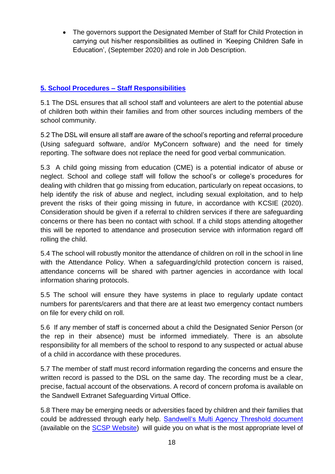• The governors support the Designated Member of Staff for Child Protection in carrying out his/her responsibilities as outlined in 'Keeping Children Safe in Education', (September 2020) and role in Job Description.

# <span id="page-18-0"></span>**[5. School Procedures –](#page-18-0) Staff Responsibilities**

5.1 The DSL ensures that all school staff and volunteers are alert to the potential abuse of children both within their families and from other sources including members of the school community.

5.2 The DSL will ensure all staff are aware of the school's reporting and referral procedure (Using safeguard software, and/or MyConcern software) and the need for timely reporting. The software does not replace the need for good verbal communication.

5.3 A child going missing from education (CME) is a potential indicator of abuse or neglect. School and college staff will follow the school's or college's procedures for dealing with children that go missing from education, particularly on repeat occasions, to help identify the risk of abuse and neglect, including sexual exploitation, and to help prevent the risks of their going missing in future, in accordance with KCSIE (2020). Consideration should be given if a referral to children services if there are safeguarding concerns or there has been no contact with school. If a child stops attending altogether this will be reported to attendance and prosecution service with information regard off rolling the child.

5.4 The school will robustly monitor the attendance of children on roll in the school in line with the Attendance Policy. When a safeguarding/child protection concern is raised, attendance concerns will be shared with partner agencies in accordance with local information sharing protocols.

5.5 The school will ensure they have systems in place to regularly update contact numbers for parents/carers and that there are at least two emergency contact numbers on file for every child on roll.

5.6 If any member of staff is concerned about a child the Designated Senior Person (or the rep in their absence) must be informed immediately. There is an absolute responsibility for all members of the school to respond to any suspected or actual abuse of a child in accordance with these procedures.

5.7 The member of staff must record information regarding the concerns and ensure the written record is passed to the DSL on the same day. The recording must be a clear, precise, factual account of the observations. A record of concern profoma is available on the Sandwell Extranet Safeguarding Virtual Office.

5.8 There may be emerging needs or adversities faced by children and their families that could be addressed through early help. [Sandwell's Multi Agency Threshold document](https://www.sandwellcsp.org.uk/wp-content/uploads/2020/06/SCSP-Multi-Agency-Thresholds-Guidance-Published-June-2020.pdf) (available on the SCSP [Website\)](http://www.sandwelllscb.org.uk/site/reporting_concerns_home.html) will guide you on what is the most appropriate level of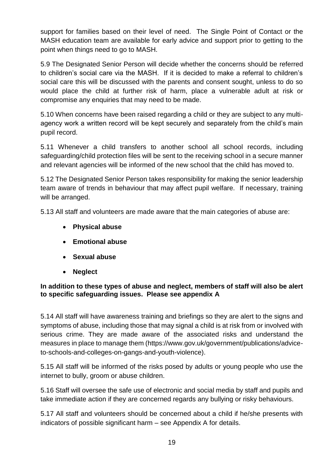support for families based on their level of need. The Single Point of Contact or the MASH education team are available for early advice and support prior to getting to the point when things need to go to MASH.

5.9 The Designated Senior Person will decide whether the concerns should be referred to children's social care via the MASH. If it is decided to make a referral to children's social care this will be discussed with the parents and consent sought, unless to do so would place the child at further risk of harm, place a vulnerable adult at risk or compromise any enquiries that may need to be made.

5.10 When concerns have been raised regarding a child or they are subject to any multiagency work a written record will be kept securely and separately from the child's main pupil record.

5.11 Whenever a child transfers to another school all school records, including safeguarding/child protection files will be sent to the receiving school in a secure manner and relevant agencies will be informed of the new school that the child has moved to.

5.12 The Designated Senior Person takes responsibility for making the senior leadership team aware of trends in behaviour that may affect pupil welfare. If necessary, training will be arranged.

5.13 All staff and volunteers are made aware that the main categories of abuse are:

- **Physical abuse**
- **Emotional abuse**
- **Sexual abuse**
- **Neglect**

#### **In addition to these types of abuse and neglect, members of staff will also be alert to specific safeguarding issues. Please see appendix A**

5.14 All staff will have awareness training and briefings so they are alert to the signs and symptoms of abuse, including those that may signal a child is at risk from or involved with serious crime. They are made aware of the associated risks and understand the measures in place to manage them (https://www.gov.uk/government/publications/adviceto-schools-and-colleges-on-gangs-and-youth-violence).

5.15 All staff will be informed of the risks posed by adults or young people who use the internet to bully, groom or abuse children.

5.16 Staff will oversee the safe use of electronic and social media by staff and pupils and take immediate action if they are concerned regards any bullying or risky behaviours.

5.17 All staff and volunteers should be concerned about a child if he/she presents with indicators of possible significant harm – see Appendix A for details.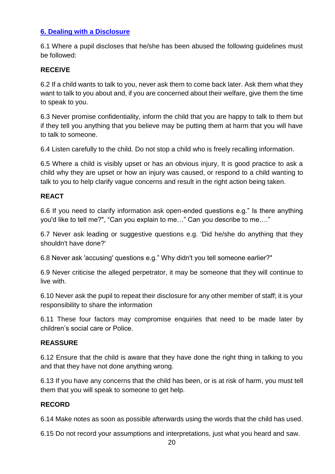## <span id="page-20-0"></span>**[6. Dealing with a Disclosure](#page-20-0)**

6.1 Where a pupil discloses that he/she has been abused the following guidelines must be followed:

## **RECEIVE**

6.2 If a child wants to talk to you, never ask them to come back later. Ask them what they want to talk to you about and, if you are concerned about their welfare, give them the time to speak to you.

6.3 Never promise confidentiality, inform the child that you are happy to talk to them but if they tell you anything that you believe may be putting them at harm that you will have to talk to someone.

6.4 Listen carefully to the child. Do not stop a child who is freely recalling information.

6.5 Where a child is visibly upset or has an obvious injury, It is good practice to ask a child why they are upset or how an injury was caused, or respond to a child wanting to talk to you to help clarify vague concerns and result in the right action being taken.

#### **REACT**

6.6 If you need to clarify information ask open-ended questions e.g." Is there anything you'd like to tell me?", "Can you explain to me…" Can you describe to me…."

6.7 Never ask leading or suggestive questions e.g. 'Did he/she do anything that they shouldn't have done?'

6.8 Never ask 'accusing' questions e.g." Why didn't you tell someone earlier?"

6.9 Never criticise the alleged perpetrator, it may be someone that they will continue to live with.

6.10 Never ask the pupil to repeat their disclosure for any other member of staff; it is your responsibility to share the information

6.11 These four factors may compromise enquiries that need to be made later by children's social care or Police.

#### **REASSURE**

6.12 Ensure that the child is aware that they have done the right thing in talking to you and that they have not done anything wrong.

6.13 If you have any concerns that the child has been, or is at risk of harm, you must tell them that you will speak to someone to get help.

#### **RECORD**

6.14 Make notes as soon as possible afterwards using the words that the child has used.

6.15 Do not record your assumptions and interpretations, just what you heard and saw.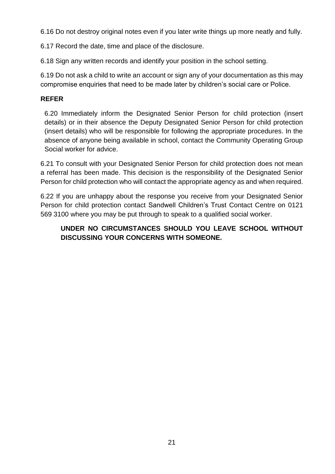6.16 Do not destroy original notes even if you later write things up more neatly and fully.

6.17 Record the date, time and place of the disclosure.

6.18 Sign any written records and identify your position in the school setting.

6.19 Do not ask a child to write an account or sign any of your documentation as this may compromise enquiries that need to be made later by children's social care or Police.

## **REFER**

6.20 Immediately inform the Designated Senior Person for child protection (insert details) or in their absence the Deputy Designated Senior Person for child protection (insert details) who will be responsible for following the appropriate procedures. In the absence of anyone being available in school, contact the Community Operating Group Social worker for advice.

6.21 To consult with your Designated Senior Person for child protection does not mean a referral has been made. This decision is the responsibility of the Designated Senior Person for child protection who will contact the appropriate agency as and when required.

6.22 If you are unhappy about the response you receive from your Designated Senior Person for child protection contact Sandwell Children's Trust Contact Centre on 0121 569 3100 where you may be put through to speak to a qualified social worker.

# **UNDER NO CIRCUMSTANCES SHOULD YOU LEAVE SCHOOL WITHOUT DISCUSSING YOUR CONCERNS WITH SOMEONE.**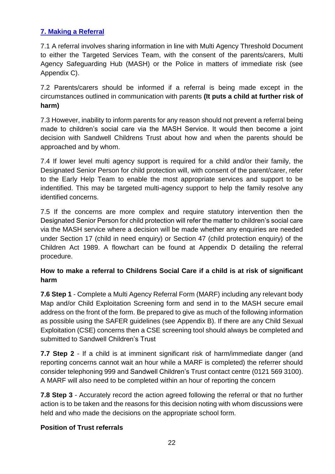## **[7. Making a Referral](#page-3-1)**

7.1 A referral involves sharing information in line with Multi Agency Threshold Document to either the Targeted Services Team, with the consent of the parents/carers, Multi Agency Safeguarding Hub (MASH) or the Police in matters of immediate risk (see Appendix C).

7.2 Parents/carers should be informed if a referral is being made except in the circumstances outlined in communication with parents **(It puts a child at further risk of harm)**

7.3 However, inability to inform parents for any reason should not prevent a referral being made to children's social care via the MASH Service. It would then become a joint decision with Sandwell Childrens Trust about how and when the parents should be approached and by whom.

7.4 If lower level multi agency support is required for a child and/or their family, the Designated Senior Person for child protection will, with consent of the parent/carer, refer to the Early Help Team to enable the most appropriate services and support to be indentified. This may be targeted multi-agency support to help the family resolve any identified concerns.

7.5 If the concerns are more complex and require statutory intervention then the Designated Senior Person for child protection will refer the matter to children's social care via the MASH service where a decision will be made whether any enquiries are needed under Section 17 (child in need enquiry) or Section 47 (child protection enquiry) of the Children Act 1989. A flowchart can be found at Appendix D detailing the referral procedure.

# **How to make a referral to Childrens Social Care if a child is at risk of significant harm**

**7.6 Step 1** - Complete a Multi Agency Referral Form (MARF) including any relevant body Map and/or Child Exploitation Screening form and send in to the MASH secure email address on the front of the form. Be prepared to give as much of the following information as possible using the SAFER guidelines (see Appendix B). If there are any Child Sexual Exploitation (CSE) concerns then a CSE screening tool should always be completed and submitted to Sandwell Children's Trust

**7.7 Step 2** - If a child is at imminent significant risk of harm/immediate danger (and reporting concerns cannot wait an hour while a MARF is completed) the referrer should consider telephoning 999 and Sandwell Children's Trust contact centre (0121 569 3100). A MARF will also need to be completed within an hour of reporting the concern

**7.8 Step 3** - Accurately record the action agreed following the referral or that no further action is to be taken and the reasons for this decision noting with whom discussions were held and who made the decisions on the appropriate school form.

#### **Position of Trust referrals**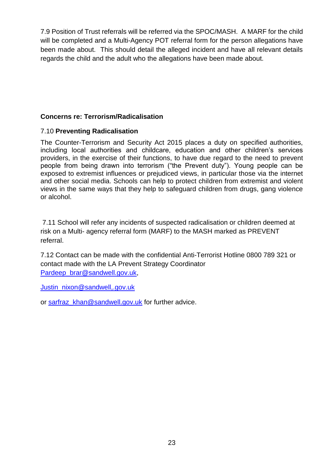7.9 Position of Trust referrals will be referred via the SPOC/MASH. A MARF for the child will be completed and a Multi-Agency POT referral form for the person allegations have been made about. This should detail the alleged incident and have all relevant details regards the child and the adult who the allegations have been made about.

## **Concerns re: Terrorism/Radicalisation**

#### 7.10 **Preventing Radicalisation**

The Counter-Terrorism and Security Act 2015 places a duty on specified authorities, including local authorities and childcare, education and other children's services providers, in the exercise of their functions, to have due regard to the need to prevent people from being drawn into terrorism ("the Prevent duty"). Young people can be exposed to extremist influences or prejudiced views, in particular those via the internet and other social media. Schools can help to protect children from extremist and violent views in the same ways that they help to safeguard children from drugs, gang violence or alcohol.

7.11 School will refer any incidents of suspected radicalisation or children deemed at risk on a Multi- agency referral form (MARF) to the MASH marked as PREVENT referral.

7.12 Contact can be made with the confidential Anti-Terrorist Hotline 0800 789 321 or contact made with the LA Prevent Strategy Coordinator [Pardeep\\_brar@sandwell.gov.uk,](mailto:Pardeep_brar@sandwell.gov.uk)

[Justin\\_nixon@sandwell,.gov.uk](mailto:Justin_nixon@sandwell,.gov.uk)

or [sarfraz\\_khan@sandwell.gov.uk](mailto:sarfraz_khan@sandwell.gov.uk) for further advice.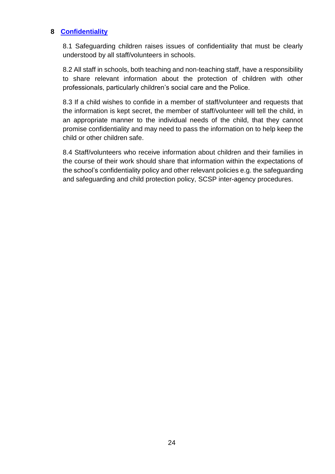#### **8 [Confidentiality](#page-3-2)**

8.1 Safeguarding children raises issues of confidentiality that must be clearly understood by all staff/volunteers in schools.

8.2 All staff in schools, both teaching and non-teaching staff, have a responsibility to share relevant information about the protection of children with other professionals, particularly children's social care and the Police.

8.3 If a child wishes to confide in a member of staff/volunteer and requests that the information is kept secret, the member of staff/volunteer will tell the child, in an appropriate manner to the individual needs of the child, that they cannot promise confidentiality and may need to pass the information on to help keep the child or other children safe.

8.4 Staff/volunteers who receive information about children and their families in the course of their work should share that information within the expectations of the school's confidentiality policy and other relevant policies e.g. the safeguarding and safeguarding and child protection policy, SCSP inter-agency procedures.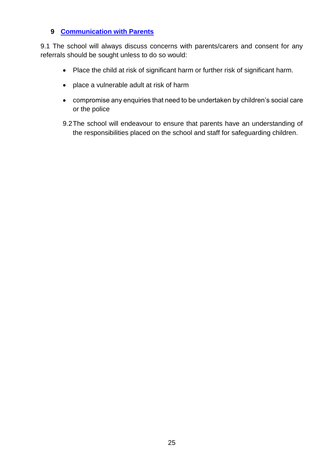## **9 [Communication with Parents](#page-3-3)**

9.1 The school will always discuss concerns with parents/carers and consent for any referrals should be sought unless to do so would:

- Place the child at risk of significant harm or further risk of significant harm.
- place a vulnerable adult at risk of harm
- compromise any enquiries that need to be undertaken by children's social care or the police
- 9.2The school will endeavour to ensure that parents have an understanding of the responsibilities placed on the school and staff for safeguarding children.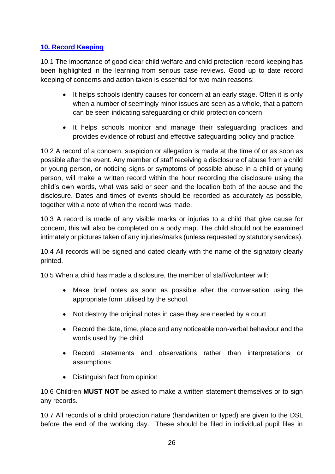## **[10. Record Keeping](#page-3-4)**

10.1 The importance of good clear child welfare and child protection record keeping has been highlighted in the learning from serious case reviews. Good up to date record keeping of concerns and action taken is essential for two main reasons:

- It helps schools identify causes for concern at an early stage. Often it is only when a number of seemingly minor issues are seen as a whole, that a pattern can be seen indicating safeguarding or child protection concern.
- It helps schools monitor and manage their safeguarding practices and provides evidence of robust and effective safeguarding policy and practice

10.2 A record of a concern, suspicion or allegation is made at the time of or as soon as possible after the event. Any member of staff receiving a disclosure of abuse from a child or young person, or noticing signs or symptoms of possible abuse in a child or young person, will make a written record within the hour recording the disclosure using the child's own words, what was said or seen and the location both of the abuse and the disclosure. Dates and times of events should be recorded as accurately as possible, together with a note of when the record was made.

10.3 A record is made of any visible marks or injuries to a child that give cause for concern, this will also be completed on a body map. The child should not be examined intimately or pictures taken of any injuries/marks (unless requested by statutory services).

10.4 All records will be signed and dated clearly with the name of the signatory clearly printed.

10.5 When a child has made a disclosure, the member of staff/volunteer will:

- Make brief notes as soon as possible after the conversation using the appropriate form utilised by the school.
- Not destroy the original notes in case they are needed by a court
- Record the date, time, place and any noticeable non-verbal behaviour and the words used by the child
- Record statements and observations rather than interpretations or assumptions
- Distinguish fact from opinion

10.6 Children **MUST NOT** be asked to make a written statement themselves or to sign any records.

10.7 All records of a child protection nature (handwritten or typed) are given to the DSL before the end of the working day. These should be filed in individual pupil files in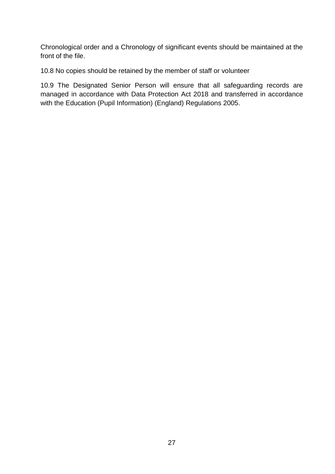Chronological order and a Chronology of significant events should be maintained at the front of the file.

10.8 No copies should be retained by the member of staff or volunteer

10.9 The Designated Senior Person will ensure that all safeguarding records are managed in accordance with Data Protection Act 2018 and transferred in accordance with the Education (Pupil Information) (England) Regulations 2005.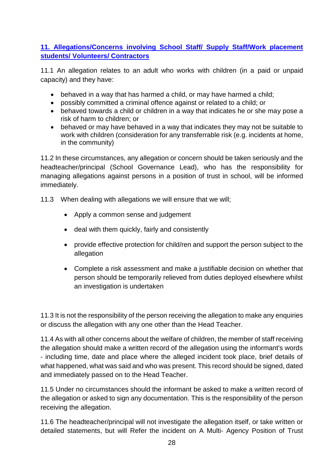## **[11. Allegations/Concerns involving School Staff/ Supply Staff/Work placement](#page-3-5)  [students/ Volunteers/ Contractors](#page-3-5)**

11.1 An allegation relates to an adult who works with children (in a paid or unpaid capacity) and they have:

- behaved in a way that has harmed a child, or may have harmed a child;
- possibly committed a criminal offence against or related to a child; or
- behaved towards a child or children in a way that indicates he or she may pose a risk of harm to children; or
- behaved or may have behaved in a way that indicates they may not be suitable to work with children (consideration for any transferrable risk (e.g. incidents at home, in the community)

11.2 In these circumstances, any allegation or concern should be taken seriously and the headteacher/principal (School Governance Lead), who has the responsibility for managing allegations against persons in a position of trust in school, will be informed immediately.

- 11.3 When dealing with allegations we will ensure that we will;
	- Apply a common sense and judgement
	- deal with them quickly, fairly and consistently
	- provide effective protection for child/ren and support the person subject to the allegation
	- Complete a risk assessment and make a justifiable decision on whether that person should be temporarily relieved from duties deployed elsewhere whilst an investigation is undertaken

11.3 It is not the responsibility of the person receiving the allegation to make any enquiries or discuss the allegation with any one other than the Head Teacher.

11.4 As with all other concerns about the welfare of children, the member of staff receiving the allegation should make a written record of the allegation using the informant's words - including time, date and place where the alleged incident took place, brief details of what happened, what was said and who was present. This record should be signed, dated and immediately passed on to the Head Teacher.

11.5 Under no circumstances should the informant be asked to make a written record of the allegation or asked to sign any documentation. This is the responsibility of the person receiving the allegation.

11.6 The headteacher/principal will not investigate the allegation itself, or take written or detailed statements, but will Refer the incident on A Multi- Agency Position of Trust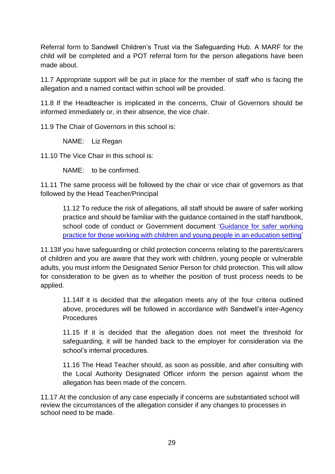Referral form to Sandwell Children's Trust via the Safeguarding Hub. A MARF for the child will be completed and a POT referral form for the person allegations have been made about.

11.7 Appropriate support will be put in place for the member of staff who is facing the allegation and a named contact within school will be provided.

11.8 If the Headteacher is implicated in the concerns, Chair of Governors should be informed immediately or, in their absence, the vice chair.

11.9 The Chair of Governors in this school is:

NAME: Liz Regan

11.10 The Vice Chair in this school is:

NAME: to be confirmed.

11.11 The same process will be followed by the chair or vice chair of governors as that followed by the Head Teacher/Principal

11.12 To reduce the risk of allegations, all staff should be aware of safer working practice and should be familiar with the guidance contained in the staff handbook, school code of conduct or Government document ['Guidance for safer working](http://www.childrenengland.org.uk/upload/Guidance%20.pdf)  [practice for those working with children and young people in an education setting'](http://www.childrenengland.org.uk/upload/Guidance%20.pdf)

11.13If you have safeguarding or child protection concerns relating to the parents/carers of children and you are aware that they work with children, young people or vulnerable adults, you must inform the Designated Senior Person for child protection. This will allow for consideration to be given as to whether the position of trust process needs to be applied.

11.14If it is decided that the allegation meets any of the four criteria outlined above, procedures will be followed in accordance with Sandwell's [inter-Agency](http://sandwelllscb.proceduresonline.com/chapters/p_alleg_staff_inc_vol.html)  **[Procedures](http://sandwelllscb.proceduresonline.com/chapters/p_alleg_staff_inc_vol.html)** 

11.15 If it is decided that the allegation does not meet the threshold for safeguarding, it will be handed back to the employer for consideration via the school's internal procedures.

11.16 The Head Teacher should, as soon as possible, and after consulting with the Local Authority Designated Officer inform the person against whom the allegation has been made of the concern.

11.17 At the conclusion of any case especially if concerns are substantiated school will review the circumstances of the allegation consider if any changes to processes in school need to be made.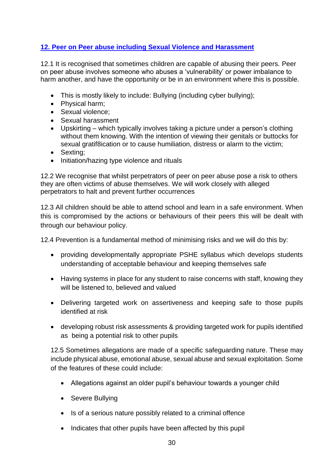## **12. Peer on Peer abuse including Sexual [Violence and Harassment](#page-3-6)**

12.1 It is recognised that sometimes children are capable of abusing their peers. Peer on peer abuse involves someone who abuses a 'vulnerability' or power imbalance to harm another, and have the opportunity or be in an environment where this is possible.

- This is mostly likely to include: Bullying (including cyber bullying);
- Physical harm:
- Sexual violence:
- Sexual harassment
- Upskirting which typically involves taking a picture under a person's clothing without them knowing. With the intention of viewing their genitals or buttocks for sexual gratif8ication or to cause humiliation, distress or alarm to the victim;
- Sexting;
- Initiation/hazing type violence and rituals

12.2 We recognise that whilst perpetrators of peer on peer abuse pose a risk to others they are often victims of abuse themselves. We will work closely with alleged perpetrators to halt and prevent further occurrences

12.3 All children should be able to attend school and learn in a safe environment. When this is compromised by the actions or behaviours of their peers this will be dealt with through our behaviour policy.

12.4 Prevention is a fundamental method of minimising risks and we will do this by:

- providing developmentally appropriate PSHE syllabus which develops students understanding of acceptable behaviour and keeping themselves safe
- Having systems in place for any student to raise concerns with staff, knowing they will be listened to, believed and valued
- Delivering targeted work on assertiveness and keeping safe to those pupils identified at risk
- developing robust risk assessments & providing targeted work for pupils identified as being a potential risk to other pupils

12.5 Sometimes allegations are made of a specific safeguarding nature. These may include physical abuse, emotional abuse, sexual abuse and sexual exploitation. Some of the features of these could include:

- Allegations against an older pupil's behaviour towards a younger child
- Severe Bullying
- Is of a serious nature possibly related to a criminal offence
- Indicates that other pupils have been affected by this pupil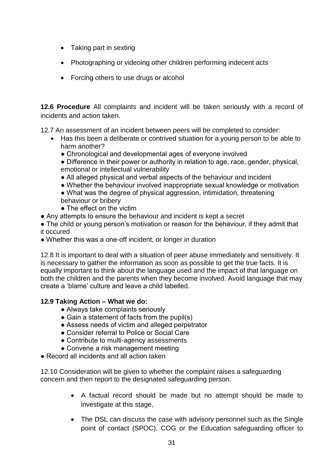- Taking part in sexting
- Photographing or videoing other children performing indecent acts
- Forcing others to use drugs or alcohol

**12.6 Procedure** All complaints and incident will be taken seriously with a record of incidents and action taken.

12.7 An assessment of an incident between peers will be completed to consider:

- Has this been a deliberate or contrived situation for a young person to be able to harm another?
	- Chronological and developmental ages of everyone involved
	- Difference in their power or authority in relation to age, race, gender, physical, emotional or intellectual vulnerability
	- All alleged physical and verbal aspects of the behaviour and incident
	- Whether the behaviour involved inappropriate sexual knowledge or motivation
	- What was the degree of physical aggression, intimidation, threatening behaviour or bribery
	- The effect on the victim
- Any attempts to ensure the behaviour and incident is kept a secret
- The child or young person's motivation or reason for the behaviour, if they admit that it occured
- Whether this was a one-off incident, or longer in duration

12.8 It is important to deal with a situation of peer abuse immediately and sensitively. It is necessary to gather the information as soon as possible to get the true facts. It is equally important to think about the language used and the impact of that language on both the children and the parents when they become involved. Avoid language that may create a 'blame' culture and leave a child labelled.

#### **12.9 Taking Action – What we do:**

- Always take complaints seriously
- $\bullet$  Gain a statement of facts from the pupil(s)
- Assess needs of victim and alleged perpetrator
- Consider referral to Police or Social Care
- Contribute to multi-agency assessments
- Convene a risk management meeting
- Record all incidents and all action taken

12.10 Consideration will be given to whether the complaint raises a safeguarding concern and then report to the designated safeguarding person.

- A factual record should be made but no attempt should be made to investigate at this stage,
- The DSL can discuss the case with advisory personnel such as the Single point of contact (SPOC), COG or the Education safeguarding officer to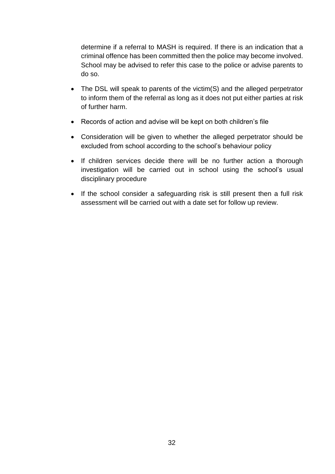determine if a referral to MASH is required. If there is an indication that a criminal offence has been committed then the police may become involved. School may be advised to refer this case to the police or advise parents to do so.

- The DSL will speak to parents of the victim(S) and the alleged perpetrator to inform them of the referral as long as it does not put either parties at risk of further harm.
- Records of action and advise will be kept on both children's file
- Consideration will be given to whether the alleged perpetrator should be excluded from school according to the school's behaviour policy
- If children services decide there will be no further action a thorough investigation will be carried out in school using the school's usual disciplinary procedure
- If the school consider a safeguarding risk is still present then a full risk assessment will be carried out with a date set for follow up review.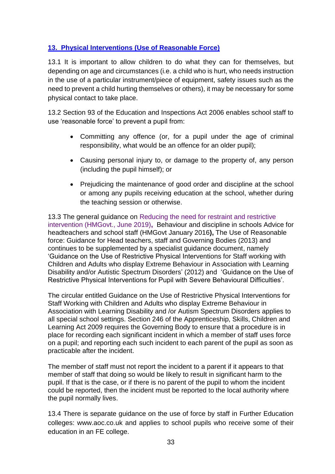# **13. Physical Interventions [\(Use of Reasonable Force\)](#page-3-7)**

13.1 It is important to allow children to do what they can for themselves, but depending on age and circumstances (i.e. a child who is hurt, who needs instruction in the use of a particular instrument/piece of equipment, safety issues such as the need to prevent a child hurting themselves or others), it may be necessary for some physical contact to take place.

13.2 Section 93 of the Education and Inspections Act 2006 enables school staff to use 'reasonable force' to prevent a pupil from:

- Committing any offence (or, for a pupil under the age of criminal responsibility, what would be an offence for an older pupil);
- Causing personal injury to, or damage to the property of, any person (including the pupil himself); or
- Prejudicing the maintenance of good order and discipline at the school or among any pupils receiving education at the school, whether during the teaching session or otherwise.

13.3 The general guidance on Reducing the need for restraint and restrictive intervention (HMGovt., June 2019)**,** Behaviour and discipline in schools Advice for headteachers and school staff (HMGovt January 2016**),** [The](https://extranet.solgrid.org.uk/schoolissues/safeguarding/SafeguardingDocuments/EWSuseofforceapr2010.pdf) Use of Reasonable force: Guidance for Head teachers, staff and Governing Bodies (2013) and continues to be supplemented by a specialist guidance document, namely 'Guidance on the Use of Restrictive Physical Interventions for Staff working with Children and Adults who display Extreme Behaviour in Association with Learning Disability and/or Autistic Spectrum Disorders' (2012) and 'Guidance on the Use of Restrictive Physical Interventions for Pupil with Severe Behavioural Difficulties'.

The circular entitled Guidance on the Use of Restrictive Physical Interventions for Staff Working with Children and Adults who display Extreme Behaviour in Association with Learning Disability and /or Autism Spectrum Disorders applies to all special school settings. Section 246 of the Apprenticeship, Skills, Children and Learning Act 2009 requires the Governing Body to ensure that a procedure is in place for recording each significant incident in which a member of staff uses force on a pupil; and reporting each such incident to each parent of the pupil as soon as practicable after the incident.

The member of staff must not report the incident to a parent if it appears to that member of staff that doing so would be likely to result in significant harm to the pupil. If that is the case, or if there is no parent of the pupil to whom the incident could be reported, then the incident must be reported to the local authority where the pupil normally lives.

13.4 There is separate guidance on the use of force by staff in Further Education colleges: [www.aoc.co.uk](http://www.aoc.co.uk/) and applies to school pupils who receive some of their education in an FE college.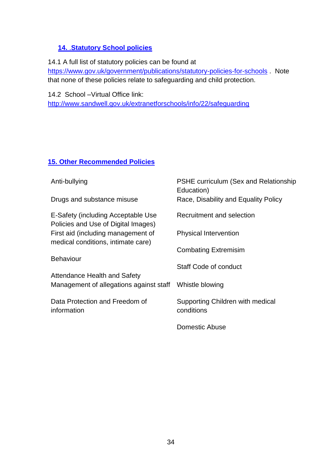# **14.** .**[Statutory School policies](#page-3-8)**

14.1 A full list of statutory policies can be found at

<https://www.gov.uk/government/publications/statutory-policies-for-schools> . Note that none of these policies relate to safeguarding and child protection.

14.2 School –Virtual Office link:

<http://www.sandwell.gov.uk/extranetforschools/info/22/safeguarding>

#### **[15. Other Recommended Policies](#page-3-9)**

| Anti-bullying                                                             | <b>PSHE curriculum (Sex and Relationship)</b><br>Education) |
|---------------------------------------------------------------------------|-------------------------------------------------------------|
| Drugs and substance misuse                                                | Race, Disability and Equality Policy                        |
| E-Safety (including Acceptable Use<br>Policies and Use of Digital Images) | Recruitment and selection                                   |
| First aid (including management of<br>medical conditions, intimate care)  | <b>Physical Intervention</b>                                |
|                                                                           | <b>Combating Extremisim</b>                                 |
| <b>Behaviour</b>                                                          | <b>Staff Code of conduct</b>                                |
| Attendance Health and Safety<br>Management of allegations against staff   | Whistle blowing                                             |
| Data Protection and Freedom of<br>information                             | Supporting Children with medical<br>conditions              |
|                                                                           | <b>Domestic Abuse</b>                                       |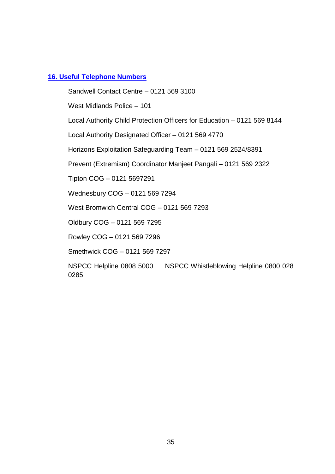#### **[16. Useful Telephone Numbers](#page-35-0)**

0285

<span id="page-35-0"></span>Sandwell Contact Centre – 0121 569 3100 West Midlands Police – 101 Local Authority Child Protection Officers for Education – 0121 569 8144 Local Authority Designated Officer – 0121 569 4770 Horizons Exploitation Safeguarding Team – 0121 569 2524/8391 Prevent (Extremism) Coordinator Manjeet Pangali – 0121 569 2322 Tipton COG – 0121 5697291 Wednesbury COG – 0121 569 7294 West Bromwich Central COG – 0121 569 7293 Oldbury COG – 0121 569 7295 Rowley COG – 0121 569 7296 Smethwick COG – 0121 569 7297 NSPCC Helpline 0808 5000 NSPCC Whistleblowing Helpline 0800 028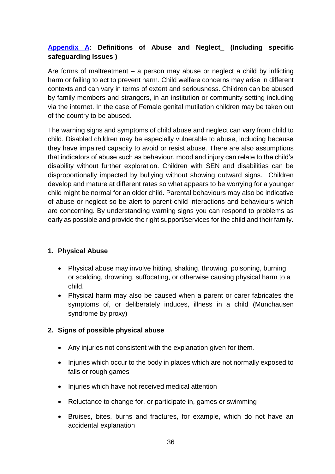# <span id="page-36-0"></span>**[Appendix A:](#page-36-0) Definitions of Abuse and Neglect\_ (Including specific safeguarding Issues )**

Are forms of maltreatment – a person may abuse or neglect a child by inflicting harm or failing to act to prevent harm. Child welfare concerns may arise in different contexts and can vary in terms of extent and seriousness. Children can be abused by family members and strangers, in an institution or community setting including via the internet. In the case of Female genital mutilation children may be taken out of the country to be abused.

The warning signs and symptoms of child abuse and neglect can vary from child to child. Disabled children may be especially vulnerable to abuse, including because they have impaired capacity to avoid or resist abuse. There are also assumptions that indicators of abuse such as behaviour, mood and injury can relate to the child's disability without further exploration. Children with SEN and disabilities can be disproportionally impacted by bullying without showing outward signs. Children develop and mature at different rates so what appears to be worrying for a younger child might be normal for an older child. Parental behaviours may also be indicative of abuse or neglect so be alert to parent-child interactions and behaviours which are concerning. By understanding warning signs you can respond to problems as early as possible and provide the right support/services for the child and their family.

#### **1. Physical Abuse**

- Physical abuse may involve hitting, shaking, throwing, poisoning, burning or scalding, drowning, suffocating, or otherwise causing physical harm to a child.
- Physical harm may also be caused when a parent or carer fabricates the symptoms of, or deliberately induces, illness in a child (Munchausen syndrome by proxy)

#### **2. Signs of possible physical abuse**

- Any injuries not consistent with the explanation given for them.
- Injuries which occur to the body in places which are not normally exposed to falls or rough games
- Injuries which have not received medical attention
- Reluctance to change for, or participate in, games or swimming
- Bruises, bites, burns and fractures, for example, which do not have an accidental explanation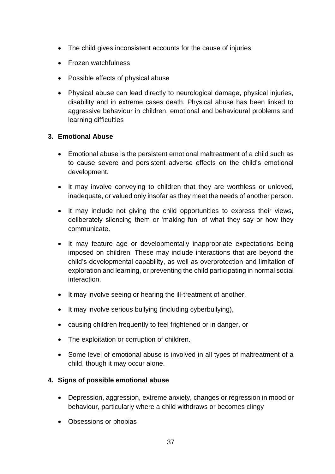- The child gives inconsistent accounts for the cause of injuries
- Frozen watchfulness
- Possible effects of physical abuse
- Physical abuse can lead directly to neurological damage, physical injuries, disability and in extreme cases death. Physical abuse has been linked to aggressive behaviour in children, emotional and behavioural problems and learning difficulties

#### **3. Emotional Abuse**

- Emotional abuse is the persistent emotional maltreatment of a child such as to cause severe and persistent adverse effects on the child's emotional development.
- It may involve conveying to children that they are worthless or unloved, inadequate, or valued only insofar as they meet the needs of another person.
- It may include not giving the child opportunities to express their views, deliberately silencing them or 'making fun' of what they say or how they communicate.
- It may feature age or developmentally inappropriate expectations being imposed on children. These may include interactions that are beyond the child's developmental capability, as well as overprotection and limitation of exploration and learning, or preventing the child participating in normal social interaction.
- It may involve seeing or hearing the ill-treatment of another.
- It may involve serious bullying (including cyberbullying),
- causing children frequently to feel frightened or in danger, or
- The exploitation or corruption of children.
- Some level of emotional abuse is involved in all types of maltreatment of a child, though it may occur alone.

#### **4. Signs of possible emotional abuse**

- Depression, aggression, extreme anxiety, changes or regression in mood or behaviour, particularly where a child withdraws or becomes clingy
- Obsessions or phobias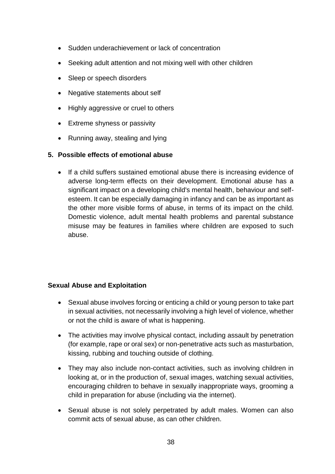- Sudden underachievement or lack of concentration
- Seeking adult attention and not mixing well with other children
- Sleep or speech disorders
- Negative statements about self
- Highly aggressive or cruel to others
- Extreme shyness or passivity
- Running away, stealing and lying

#### **5. Possible effects of emotional abuse**

• If a child suffers sustained emotional abuse there is increasing evidence of adverse long-term effects on their development. Emotional abuse has a significant impact on a developing child's mental health, behaviour and selfesteem. It can be especially damaging in infancy and can be as important as the other more visible forms of abuse, in terms of its impact on the child. Domestic violence, adult mental health problems and parental substance misuse may be features in families where children are exposed to such abuse.

#### **Sexual Abuse and Exploitation**

- Sexual abuse involves forcing or enticing a child or young person to take part in sexual activities, not necessarily involving a high level of violence, whether or not the child is aware of what is happening.
- The activities may involve physical contact, including assault by penetration (for example, rape or oral sex) or non-penetrative acts such as masturbation, kissing, rubbing and touching outside of clothing.
- They may also include non-contact activities, such as involving children in looking at, or in the production of, sexual images, watching sexual activities, encouraging children to behave in sexually inappropriate ways, grooming a child in preparation for abuse (including via the internet).
- Sexual abuse is not solely perpetrated by adult males. Women can also commit acts of sexual abuse, as can other children.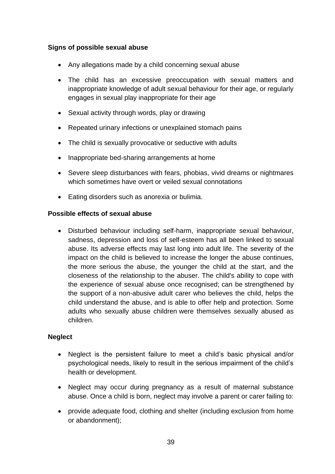#### **Signs of possible sexual abuse**

- Any allegations made by a child concerning sexual abuse
- The child has an excessive preoccupation with sexual matters and inappropriate knowledge of adult sexual behaviour for their age, or regularly engages in sexual play inappropriate for their age
- Sexual activity through words, play or drawing
- Repeated urinary infections or unexplained stomach pains
- The child is sexually provocative or seductive with adults
- Inappropriate bed-sharing arrangements at home
- Severe sleep disturbances with fears, phobias, vivid dreams or nightmares which sometimes have overt or veiled sexual connotations
- Eating disorders such as anorexia or bulimia.

#### **Possible effects of sexual abuse**

 Disturbed behaviour including self-harm, inappropriate sexual behaviour, sadness, depression and loss of self-esteem has all been linked to sexual abuse. Its adverse effects may last long into adult life. The severity of the impact on the child is believed to increase the longer the abuse continues, the more serious the abuse, the younger the child at the start, and the closeness of the relationship to the abuser. The child's ability to cope with the experience of sexual abuse once recognised; can be strengthened by the support of a non-abusive adult carer who believes the child, helps the child understand the abuse, and is able to offer help and protection. Some adults who sexually abuse children were themselves sexually abused as children.

#### **Neglect**

- Neglect is the persistent failure to meet a child's basic physical and/or psychological needs, likely to result in the serious impairment of the child's health or development.
- Neglect may occur during pregnancy as a result of maternal substance abuse. Once a child is born, neglect may involve a parent or carer failing to:
- provide adequate food, clothing and shelter (including exclusion from home or abandonment);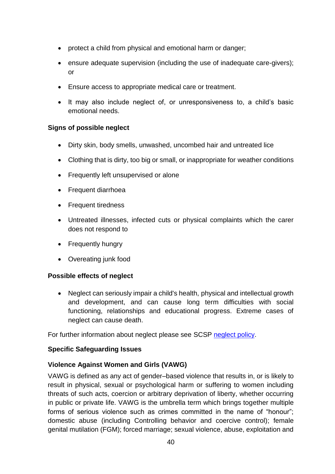- protect a child from physical and emotional harm or danger;
- ensure adequate supervision (including the use of inadequate care-givers); or
- Ensure access to appropriate medical care or treatment.
- It may also include neglect of, or unresponsiveness to, a child's basic emotional needs.

#### **Signs of possible neglect**

- Dirty skin, body smells, unwashed, uncombed hair and untreated lice
- Clothing that is dirty, too big or small, or inappropriate for weather conditions
- Frequently left unsupervised or alone
- Frequent diarrhoea
- Frequent tiredness
- Untreated illnesses, infected cuts or physical complaints which the carer does not respond to
- Frequently hungry
- Overeating junk food

#### **Possible effects of neglect**

• Neglect can seriously impair a child's health, physical and intellectual growth and development, and can cause long term difficulties with social functioning, relationships and educational progress. Extreme cases of neglect can cause death.

For further information about neglect please see SCSP [neglect policy.](http://www.sandwelllscb.org.uk/user_controlled_lcms_area_news/uploaded_files/Neglect%20Pol%20%26%20Practice%20Guidance%2020140312%20RB.pdf)

#### **Specific Safeguarding Issues**

#### **Violence Against Women and Girls (VAWG)**

VAWG is defined as any act of gender–based violence that results in, or is likely to result in physical, sexual or psychological harm or suffering to women including threats of such acts, coercion or arbitrary deprivation of liberty, whether occurring in public or private life. VAWG is the umbrella term which brings together multiple forms of serious violence such as crimes committed in the name of "honour"; domestic abuse (including Controlling behavior and coercive control); female genital mutilation (FGM); forced marriage; sexual violence, abuse, exploitation and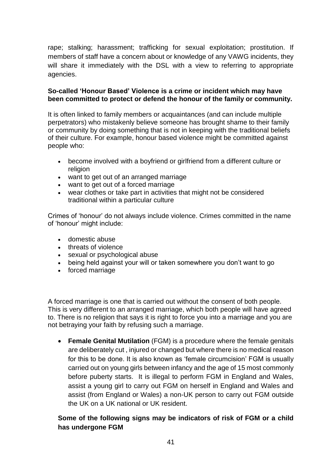rape; stalking; harassment; trafficking for sexual exploitation; prostitution. If members of staff have a concern about or knowledge of any VAWG incidents, they will share it immediately with the DSL with a view to referring to appropriate agencies.

#### **So-called 'Honour Based' Violence is a crime or incident which may have been committed to protect or defend the honour of the family or community.**

It is often linked to family members or acquaintances (and can include multiple perpetrators) who mistakenly believe someone has brought shame to their family or community by doing something that is not in keeping with the traditional beliefs of their culture. For example, honour based violence might be committed against people who:

- become involved with a boyfriend or girlfriend from a different culture or religion
- want to get out of an arranged marriage
- want to get out of a forced marriage
- wear clothes or take part in activities that might not be considered traditional within a particular culture

Crimes of 'honour' do not always include violence. Crimes committed in the name of 'honour' might include:

- domestic abuse
- threats of violence
- sexual or psychological abuse
- being held against your will or taken somewhere you don't want to go
- forced marriage

A forced marriage is one that is carried out without the consent of both people. This is very different to an arranged marriage, which both people will have agreed to. There is no religion that says it is right to force you into a marriage and you are not betraying your faith by refusing such a marriage.

 **Female Genital Mutilation** (FGM) is a procedure where the female genitals are deliberately cut , injured or changed but where there is no medical reason for this to be done. It is also known as 'female circumcision' FGM is usually carried out on young girls between infancy and the age of 15 most commonly before puberty starts. It is illegal to perform FGM in England and Wales, assist a young girl to carry out FGM on herself in England and Wales and assist (from England or Wales) a non-UK person to carry out FGM outside the UK on a UK national or UK resident.

## **Some of the following signs may be indicators of risk of FGM or a child has undergone FGM**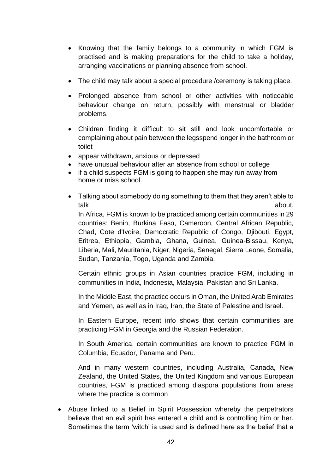- Knowing that the family belongs to a community in which FGM is practised and is making preparations for the child to take a holiday, arranging vaccinations or planning absence from school.
- The child may talk about a special procedure / ceremony is taking place.
- Prolonged absence from school or other activities with noticeable behaviour change on return, possibly with menstrual or bladder problems.
- Children finding it difficult to sit still and look uncomfortable or complaining about pain between the legsspend longer in the bathroom or toilet
- appear withdrawn, anxious or depressed
- have unusual behaviour after an absence from school or college
- if a child suspects FGM is going to happen she may run away from home or miss school.
- Talking about somebody doing something to them that they aren't able to talk about. In Africa, FGM is known to be practiced among certain communities in 29 countries: Benin, Burkina Faso, Cameroon, Central African Republic, Chad, Cote d'Ivoire, Democratic Republic of Congo, Djibouti, Egypt, Eritrea, Ethiopia, Gambia, Ghana, Guinea, Guinea-Bissau, Kenya, Liberia, Mali, Mauritania, Niger, Nigeria, Senegal, Sierra Leone, Somalia, Sudan, Tanzania, Togo, Uganda and Zambia.

Certain ethnic groups in Asian countries practice FGM, including in communities in India, Indonesia, Malaysia, Pakistan and Sri Lanka.

In the Middle East, the practice occurs in Oman, the United Arab Emirates and Yemen, as well as in Iraq, Iran, the State of Palestine and Israel.

In Eastern Europe, recent info shows that certain communities are practicing FGM in Georgia and the Russian Federation.

In South America, certain communities are known to practice FGM in Columbia, Ecuador, Panama and Peru.

And in many western countries, including Australia, Canada, New Zealand, the United States, the United Kingdom and various European countries, FGM is practiced among diaspora populations from areas where the practice is common

 Abuse linked to a Belief in Spirit Possession whereby the perpetrators believe that an evil spirit has entered a child and is controlling him or her. Sometimes the term 'witch' is used and is defined here as the belief that a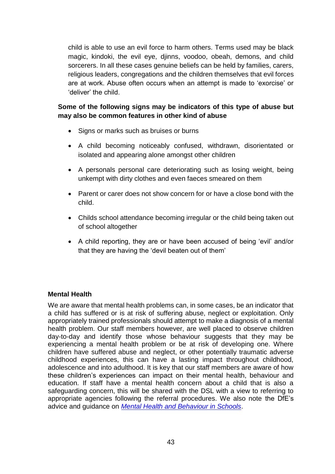child is able to use an evil force to harm others. Terms used may be black magic, kindoki, the evil eye, djinns, voodoo, obeah, demons, and child sorcerers. In all these cases genuine beliefs can be held by families, carers, religious leaders, congregations and the children themselves that evil forces are at work. Abuse often occurs when an attempt is made to 'exorcise' or 'deliver' the child.

## **Some of the following signs may be indicators of this type of abuse but may also be common features in other kind of abuse**

- Signs or marks such as bruises or burns
- A child becoming noticeably confused, withdrawn, disorientated or isolated and appearing alone amongst other children
- A personals personal care deteriorating such as losing weight, being unkempt with dirty clothes and even faeces smeared on them
- Parent or carer does not show concern for or have a close bond with the child.
- Childs school attendance becoming irregular or the child being taken out of school altogether
- A child reporting, they are or have been accused of being 'evil' and/or that they are having the 'devil beaten out of them'

#### **Mental Health**

We are aware that mental health problems can, in some cases, be an indicator that a child has suffered or is at risk of suffering abuse, neglect or exploitation. Only appropriately trained professionals should attempt to make a diagnosis of a mental health problem. Our staff members however, are well placed to observe children day-to-day and identify those whose behaviour suggests that they may be experiencing a mental health problem or be at risk of developing one. Where children have suffered abuse and neglect, or other potentially traumatic adverse childhood experiences, this can have a lasting impact throughout childhood, adolescence and into adulthood. It is key that our staff members are aware of how these children's experiences can impact on their mental health, behaviour and education. If staff have a mental health concern about a child that is also a safeguarding concern, this will be shared with the DSL with a view to referring to appropriate agencies following the referral procedures. We also note the DfE's advice and guidance on *[Mental Health and Behaviour in Schools](https://www.gov.uk/government/publications/mental-health-and-behaviour-in-schools--2)*.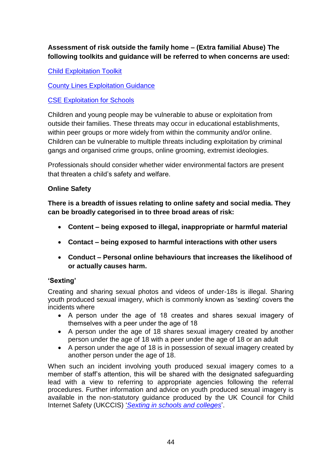## **Assessment of risk outside the family home – (Extra familial Abuse) The following toolkits and guidance will be referred to when concerns are used:**

## [Child Exploitation Toolkit](https://www.gov.uk/government/publications/child-exploitation-disruption-toolkit)

[County Lines Exploitation Guidance](https://www.gov.uk/government/publications/county-lines-exploitation) 

## [CSE Exploitation for Schools](https://www.gov.uk/government/publications/child-sexual-exploitation-definition-and-guide-for-practitioners)

Children and young people may be vulnerable to abuse or exploitation from outside their families. These threats may occur in educational establishments, within peer groups or more widely from within the community and/or online. Children can be vulnerable to multiple threats including exploitation by criminal gangs and organised crime groups, online grooming, extremist ideologies.

Professionals should consider whether wider environmental factors are present that threaten a child's safety and welfare.

#### **Online Safety**

**There is a breadth of issues relating to online safety and social media. They can be broadly categorised in to three broad areas of risk:**

- **Content – being exposed to illegal, inappropriate or harmful material**
- **Contact – being exposed to harmful interactions with other users**
- **Conduct – Personal online behaviours that increases the likelihood of or actually causes harm.**

#### **'Sexting'**

Creating and sharing sexual photos and videos of under-18s is illegal. Sharing youth produced sexual imagery, which is commonly known as 'sexting' covers the incidents where

- A person under the age of 18 creates and shares sexual imagery of themselves with a peer under the age of 18
- A person under the age of 18 shares sexual imagery created by another person under the age of 18 with a peer under the age of 18 or an adult
- A person under the age of 18 is in possession of sexual imagery created by another person under the age of 18.

When such an incident involving youth produced sexual imagery comes to a member of staff's attention, this will be shared with the designated safeguarding lead with a view to referring to appropriate agencies following the referral procedures. Further information and advice on youth produced sexual imagery is available in the non-statutory guidance produced by the UK Council for Child Internet Safety (UKCCIS) '*[Sexting in schools and colleges](https://www.gov.uk/government/uploads/system/uploads/attachment_data/file/609874/6_2939_SP_NCA_Sexting_In_Schools_FINAL_Update_Jan17.pdf)*'.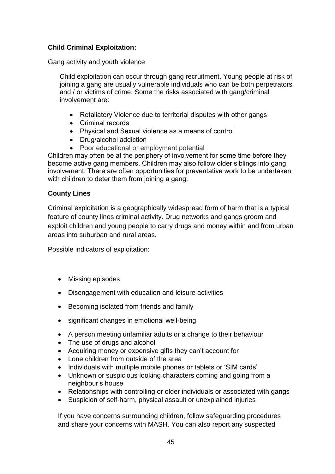## **Child Criminal Exploitation:**

Gang activity and youth violence

Child exploitation can occur through gang recruitment. Young people at risk of joining a gang are usually vulnerable individuals who can be both perpetrators and / or victims of crime. Some the risks associated with gang/criminal involvement are:

- Retaliatory Violence due to territorial disputes with other gangs
- Criminal records
- Physical and Sexual violence as a means of control
- Drug/alcohol addiction
- Poor educational or employment potential

Children may often be at the periphery of involvement for some time before they become active gang members. Children may also follow older siblings into gang involvement. There are often opportunities for preventative work to be undertaken with children to deter them from joining a gang.

#### **County Lines**

Criminal exploitation is a geographically widespread form of harm that is a typical feature of county lines criminal activity. Drug networks and gangs groom and exploit children and young people to carry drugs and money within and from urban areas into suburban and rural areas.

Possible indicators of exploitation:

- Missing episodes
- Disengagement with education and leisure activities
- Becoming isolated from friends and family
- significant changes in emotional well-being
- A person meeting unfamiliar adults or a change to their behaviour
- The use of drugs and alcohol
- Acquiring money or expensive gifts they can't account for
- Lone children from outside of the area
- Individuals with multiple mobile phones or tablets or 'SIM cards'
- Unknown or suspicious looking characters coming and going from a neighbour's house
- Relationships with controlling or older individuals or associated with gangs
- Suspicion of self-harm, physical assault or unexplained injuries

If you have concerns surrounding children, follow safeguarding procedures and share your concerns with MASH. You can also report any suspected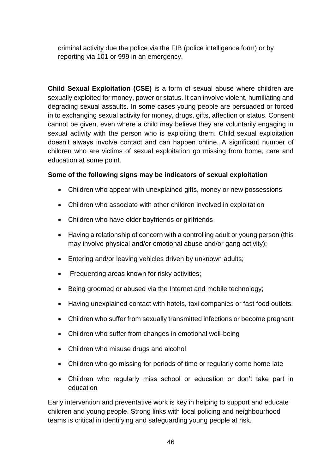criminal activity due the police via the FIB (police intelligence form) or by reporting via 101 or 999 in an emergency.

**Child Sexual Exploitation (CSE)** is a form of sexual abuse where children are sexually exploited for money, power or status. It can involve violent, humiliating and degrading sexual assaults. In some cases young people are persuaded or forced in to exchanging sexual activity for money, drugs, gifts, affection or status. Consent cannot be given, even where a child may believe they are voluntarily engaging in sexual activity with the person who is exploiting them. Child sexual exploitation doesn't always involve contact and can happen online. A significant number of children who are victims of sexual exploitation go missing from home, care and education at some point.

#### **Some of the following signs may be indicators of sexual exploitation**

- Children who appear with unexplained gifts, money or new possessions
- Children who associate with other children involved in exploitation
- Children who have older boyfriends or girlfriends
- Having a relationship of concern with a controlling adult or young person (this may involve physical and/or emotional abuse and/or gang activity);
- Entering and/or leaving vehicles driven by unknown adults;
- Frequenting areas known for risky activities;
- Being groomed or abused via the Internet and mobile technology;
- Having unexplained contact with hotels, taxi companies or fast food outlets.
- Children who suffer from sexually transmitted infections or become pregnant
- Children who suffer from changes in emotional well-being
- Children who misuse drugs and alcohol
- Children who go missing for periods of time or regularly come home late
- Children who regularly miss school or education or don't take part in education

Early intervention and preventative work is key in helping to support and educate children and young people. Strong links with local policing and neighbourhood teams is critical in identifying and safeguarding young people at risk.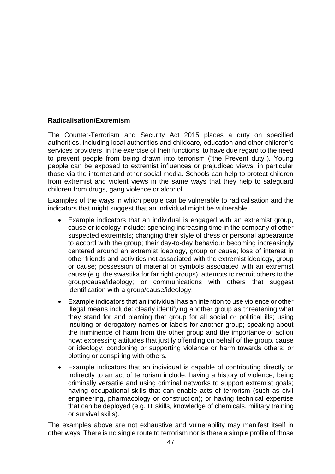#### **Radicalisation/Extremism**

The Counter-Terrorism and Security Act 2015 places a duty on specified authorities, including local authorities and childcare, education and other children's services providers, in the exercise of their functions, to have due regard to the need to prevent people from being drawn into terrorism ("the Prevent duty"). Young people can be exposed to extremist influences or prejudiced views, in particular those via the internet and other social media. Schools can help to protect children from extremist and violent views in the same ways that they help to safeguard children from drugs, gang violence or alcohol.

Examples of the ways in which people can be vulnerable to radicalisation and the indicators that might suggest that an individual might be vulnerable:

- Example indicators that an individual is engaged with an extremist group, cause or ideology include: spending increasing time in the company of other suspected extremists; changing their style of dress or personal appearance to accord with the group; their day-to-day behaviour becoming increasingly centered around an extremist ideology, group or cause; loss of interest in other friends and activities not associated with the extremist ideology, group or cause; possession of material or symbols associated with an extremist cause (e.g. the swastika for far right groups); attempts to recruit others to the group/cause/ideology; or communications with others that suggest identification with a group/cause/ideology.
- Example indicators that an individual has an intention to use violence or other illegal means include: clearly identifying another group as threatening what they stand for and blaming that group for all social or political ills; using insulting or derogatory names or labels for another group; speaking about the imminence of harm from the other group and the importance of action now; expressing attitudes that justify offending on behalf of the group, cause or ideology; condoning or supporting violence or harm towards others; or plotting or conspiring with others.
- Example indicators that an individual is capable of contributing directly or indirectly to an act of terrorism include: having a history of violence; being criminally versatile and using criminal networks to support extremist goals; having occupational skills that can enable acts of terrorism (such as civil engineering, pharmacology or construction); or having technical expertise that can be deployed (e.g. IT skills, knowledge of chemicals, military training or survival skills).

The examples above are not exhaustive and vulnerability may manifest itself in other ways. There is no single route to terrorism nor is there a simple profile of those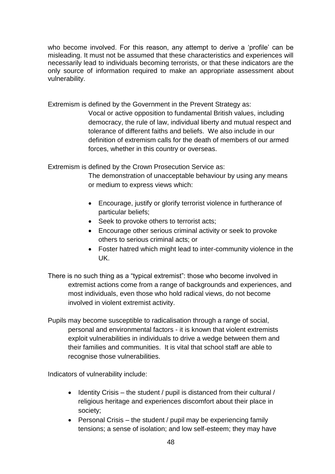who become involved. For this reason, any attempt to derive a 'profile' can be misleading. It must not be assumed that these characteristics and experiences will necessarily lead to individuals becoming terrorists, or that these indicators are the only source of information required to make an appropriate assessment about vulnerability.

Extremism is defined by the Government in the Prevent Strategy as:

Vocal or active opposition to fundamental British values, including democracy, the rule of law, individual liberty and mutual respect and tolerance of different faiths and beliefs. We also include in our definition of extremism calls for the death of members of our armed forces, whether in this country or overseas.

Extremism is defined by the Crown Prosecution Service as:

The demonstration of unacceptable behaviour by using any means or medium to express views which:

- Encourage, justify or glorify terrorist violence in furtherance of particular beliefs;
- Seek to provoke others to terrorist acts;
- Encourage other serious criminal activity or seek to provoke others to serious criminal acts; or
- Foster hatred which might lead to inter-community violence in the UK.
- There is no such thing as a "typical extremist": those who become involved in extremist actions come from a range of backgrounds and experiences, and most individuals, even those who hold radical views, do not become involved in violent extremist activity.
- Pupils may become susceptible to radicalisation through a range of social, personal and environmental factors - it is known that violent extremists exploit vulnerabilities in individuals to drive a wedge between them and their families and communities. It is vital that school staff are able to recognise those vulnerabilities.

Indicators of vulnerability include:

- $\bullet$  Identity Crisis the student / pupil is distanced from their cultural / religious heritage and experiences discomfort about their place in society;
- Personal Crisis the student / pupil may be experiencing family tensions; a sense of isolation; and low self-esteem; they may have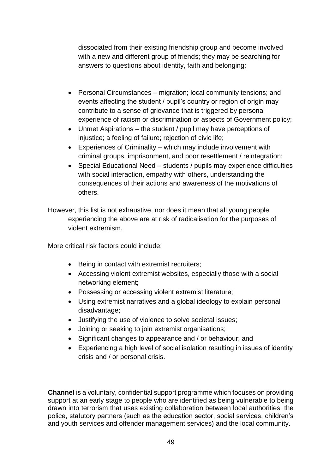dissociated from their existing friendship group and become involved with a new and different group of friends; they may be searching for answers to questions about identity, faith and belonging;

- Personal Circumstances migration; local community tensions; and events affecting the student / pupil's country or region of origin may contribute to a sense of grievance that is triggered by personal experience of racism or discrimination or aspects of Government policy;
- Unmet Aspirations the student / pupil may have perceptions of injustice; a feeling of failure; rejection of civic life;
- Experiences of Criminality which may include involvement with criminal groups, imprisonment, and poor resettlement / reintegration;
- Special Educational Need students / pupils may experience difficulties with social interaction, empathy with others, understanding the consequences of their actions and awareness of the motivations of others.

However, this list is not exhaustive, nor does it mean that all young people experiencing the above are at risk of radicalisation for the purposes of violent extremism.

More critical risk factors could include:

- Being in contact with extremist recruiters;
- Accessing violent extremist websites, especially those with a social networking element;
- Possessing or accessing violent extremist literature;
- Using extremist narratives and a global ideology to explain personal disadvantage;
- Justifying the use of violence to solve societal issues;
- Joining or seeking to join extremist organisations;
- Significant changes to appearance and / or behaviour; and
- Experiencing a high level of social isolation resulting in issues of identity crisis and / or personal crisis.

**Channel** is a voluntary, confidential support programme which focuses on providing support at an early stage to people who are identified as being vulnerable to being drawn into terrorism that uses existing collaboration between local authorities, the police, statutory partners (such as the education sector, social services, children's and youth services and offender management services) and the local community.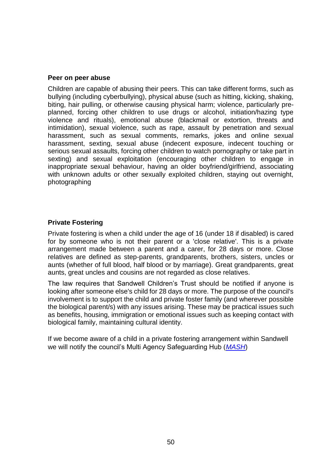#### **Peer on peer abuse**

Children are capable of abusing their peers. This can take different forms, such as bullying (including cyberbullying), physical abuse (such as hitting, kicking, shaking, biting, hair pulling, or otherwise causing physical harm; violence, particularly preplanned, forcing other children to use drugs or alcohol, initiation/hazing type violence and rituals), emotional abuse (blackmail or extortion, threats and intimidation), sexual violence, such as rape, assault by penetration and sexual harassment, such as sexual comments, remarks, jokes and online sexual harassment, sexting, sexual abuse (indecent exposure, indecent touching or serious sexual assaults, forcing other children to watch pornography or take part in sexting) and sexual exploitation (encouraging other children to engage in inappropriate sexual behaviour, having an older boyfriend/girlfriend, associating with unknown adults or other sexually exploited children, staying out overnight, photographing

#### **Private Fostering**

Private fostering is when a child under the age of 16 (under 18 if disabled) is cared for by someone who is not their parent or a 'close relative'. This is a private arrangement made between a parent and a carer, for 28 days or more. Close relatives are defined as step-parents, grandparents, brothers, sisters, uncles or aunts (whether of full blood, half blood or by marriage). Great grandparents, great aunts, great uncles and cousins are not regarded as close relatives.

The law requires that Sandwell Children's Trust should be notified if anyone is looking after someone else's child for 28 days or more. The purpose of the council's involvement is to support the child and private foster family (and wherever possible the biological parent/s) with any issues arising. These may be practical issues such as benefits, housing, immigration or emotional issues such as keeping contact with biological family, maintaining cultural identity.

If we become aware of a child in a private fostering arrangement within Sandwell we will notify the council's Multi Agency Safeguarding Hub (*[MASH](https://www.southwark.gov.uk/childcare-and-parenting/children-s-social-care/child-protection/multi-agency-safeguarding-hub-mash)*)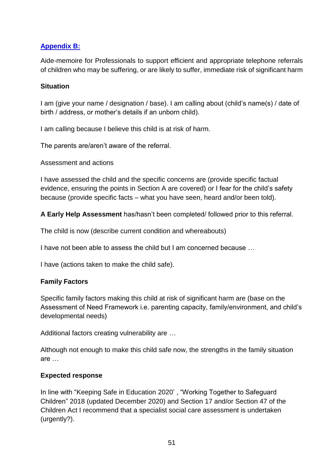# **[Appendix B:](#page-3-10)**

Aide-memoire for Professionals to support efficient and appropriate telephone referrals of children who may be suffering, or are likely to suffer, immediate risk of significant harm

#### **Situation**

I am (give your name / designation / base). I am calling about (child's name(s) / date of birth / address, or mother's details if an unborn child).

I am calling because I believe this child is at risk of harm.

The parents are/aren't aware of the referral.

Assessment and actions

I have assessed the child and the specific concerns are (provide specific factual evidence, ensuring the points in Section A are covered) *or* I fear for the child's safety because (provide specific facts – what you have seen, heard and/or been told).

**A Early Help Assessment** has/hasn't been completed/ followed prior to this referral.

The child is now (describe current condition and whereabouts)

I have not been able to assess the child but I am concerned because …

I have (actions taken to make the child safe).

#### **Family Factors**

Specific family factors making this child at risk of significant harm are (base on the Assessment of Need Framework i.e. parenting capacity, family/environment, and child's developmental needs)

Additional factors creating vulnerability are …

Although not enough to make this child safe now, the strengths in the family situation are …

#### **Expected response**

In line with "Keeping Safe in Education 2020' , "Working Together to Safeguard Children" 2018 (updated December 2020) and Section 17 and/or Section 47 of the Children Act I recommend that a specialist social care assessment is undertaken (urgently?).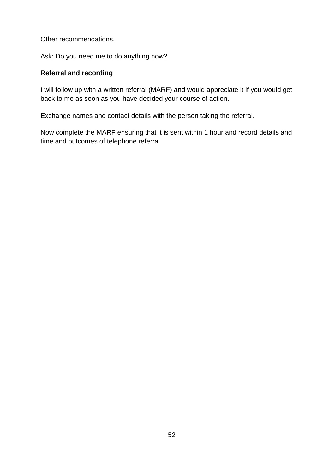Other recommendations.

Ask: Do you need me to do anything now?

## **Referral and recording**

I will follow up with a written referral (MARF) and would appreciate it if you would get back to me as soon as you have decided your course of action.

Exchange names and contact details with the person taking the referral.

Now complete the MARF ensuring that it is sent within 1 hour and record details and time and outcomes of telephone referral.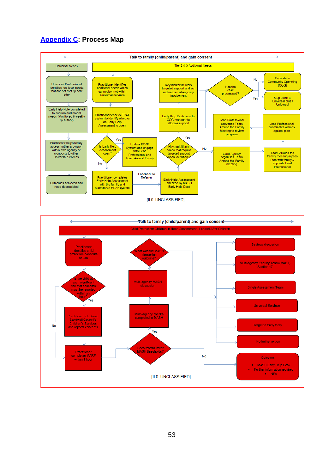#### **[Appendix C:](#page-3-11) Process Map**



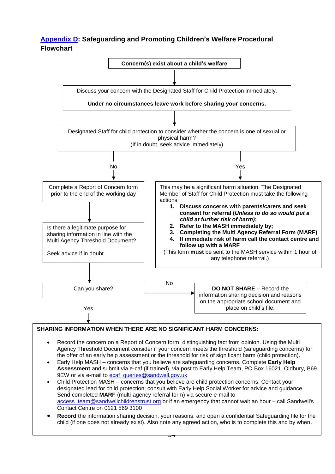## **[Appendix D:](#page-3-12) Safeguarding and Promoting Children's Welfare Procedural Flowchart**



#### **SHARING INFORMATION WHEN THERE ARE NO SIGNIFICANT HARM CONCERNS:**

- Record the concern on a Report of Concern form, distinguishing fact from opinion. Using the Multi Agency Threshold Document consider if your concern meets the threshold (safeguarding concerns) for the offer of an early help assessment or the threshold for risk of significant harm (child protection).
- Early Help MASH concerns that you believe are safeguarding concerns. Complete **Early Help Assessment** and submit via e-caf (if trained), via post to Early Help Team, PO Box 16021, Oldbury, B69 9EW or via e-mail to ecaf queries@sandwell.gov.uk
- Child Protection MASH concerns that you believe are child protection concerns. Contact your designated lead for child protection; consult with Early Help Social Worker for advice and guidance. Send completed **MARF** (multi-agency referral form) via secure e-mail to access team@sandwellchildrenstrust.org or if an emergency that cannot wait an hour – call Sandwell's Contact Centre on 0121 569 3100
- **Record** the information sharing decision, your reasons, and open a confidential Safeguarding file for the child (if one does not already exist). Also note any agreed action, who is to complete this and by when.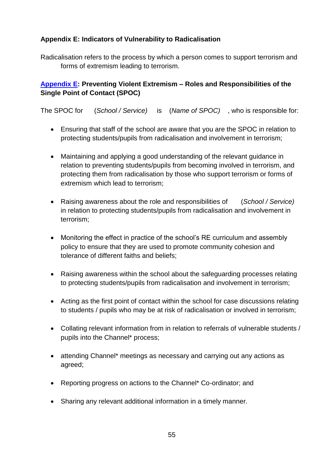## **Appendix E: Indicators of Vulnerability to Radicalisation**

Radicalisation refers to the process by which a person comes to support terrorism and forms of extremism leading to terrorism.

# **[Appendix E:](#page-3-13) Preventing Violent Extremism – Roles and Responsibilities of the Single Point of Contact (SPOC)**

The SPOC for (*School / Service)* is (*Name of SPOC)* , who is responsible for:

- Ensuring that staff of the school are aware that you are the SPOC in relation to protecting students/pupils from radicalisation and involvement in terrorism;
- Maintaining and applying a good understanding of the relevant guidance in relation to preventing students/pupils from becoming involved in terrorism, and protecting them from radicalisation by those who support terrorism or forms of extremism which lead to terrorism;
- Raising awareness about the role and responsibilities of (*School / Service)* in relation to protecting students/pupils from radicalisation and involvement in terrorism;
- Monitoring the effect in practice of the school's RE curriculum and assembly policy to ensure that they are used to promote community cohesion and tolerance of different faiths and beliefs;
- Raising awareness within the school about the safeguarding processes relating to protecting students/pupils from radicalisation and involvement in terrorism;
- Acting as the first point of contact within the school for case discussions relating to students / pupils who may be at risk of radicalisation or involved in terrorism;
- Collating relevant information from in relation to referrals of vulnerable students / pupils into the Channel\* process;
- attending Channel\* meetings as necessary and carrying out any actions as agreed;
- Reporting progress on actions to the Channel\* Co-ordinator; and
- Sharing any relevant additional information in a timely manner.